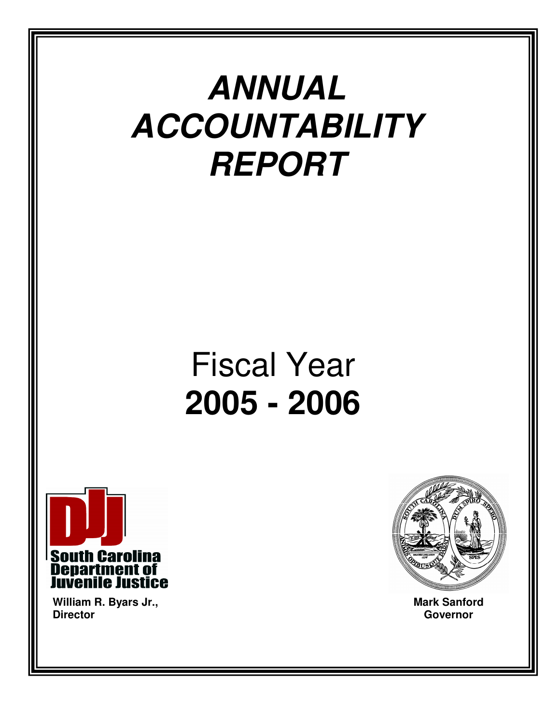# **ANNUAL ACCOUNTABILITY REPORT**

# Fiscal Year **2005 - 2006**



**William R. Byars Jr., Director** 



2

**Mark Sanford Governor**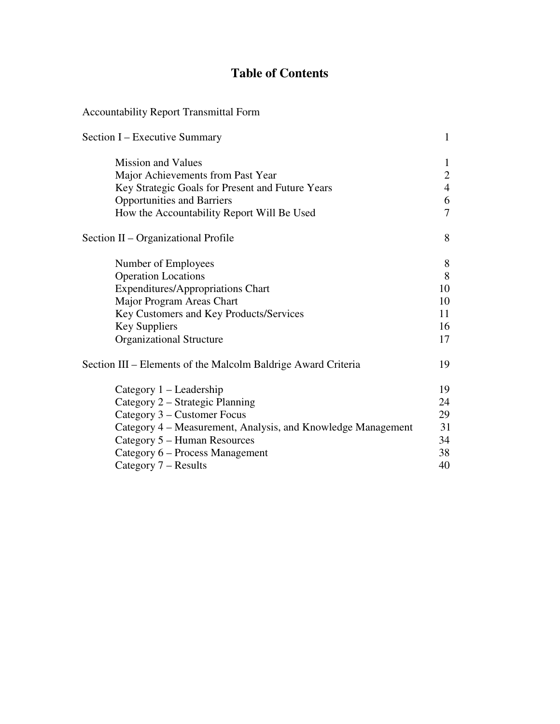## **Table of Contents**

## Accountability Report Transmittal Form

| Section I – Executive Summary                                 | $\mathbf{1}$   |
|---------------------------------------------------------------|----------------|
| <b>Mission and Values</b>                                     | 1              |
| Major Achievements from Past Year                             | $\overline{2}$ |
| Key Strategic Goals for Present and Future Years              | $\overline{4}$ |
| <b>Opportunities and Barriers</b>                             | 6              |
| How the Accountability Report Will Be Used                    | $\overline{7}$ |
| Section II – Organizational Profile                           | 8              |
| Number of Employees                                           | 8              |
| <b>Operation Locations</b>                                    | 8              |
| <b>Expenditures/Appropriations Chart</b>                      | 10             |
| Major Program Areas Chart                                     | 10             |
| Key Customers and Key Products/Services                       | 11             |
| Key Suppliers                                                 | 16             |
| <b>Organizational Structure</b>                               | 17             |
| Section III – Elements of the Malcolm Baldrige Award Criteria | 19             |
| Category 1 – Leadership                                       | 19             |
| Category 2 – Strategic Planning                               | 24             |
| Category 3 – Customer Focus                                   | 29             |
| Category 4 – Measurement, Analysis, and Knowledge Management  | 31             |
| Category 5 – Human Resources                                  | 34             |
| Category 6 – Process Management                               | 38             |
| Category 7 – Results                                          | 40             |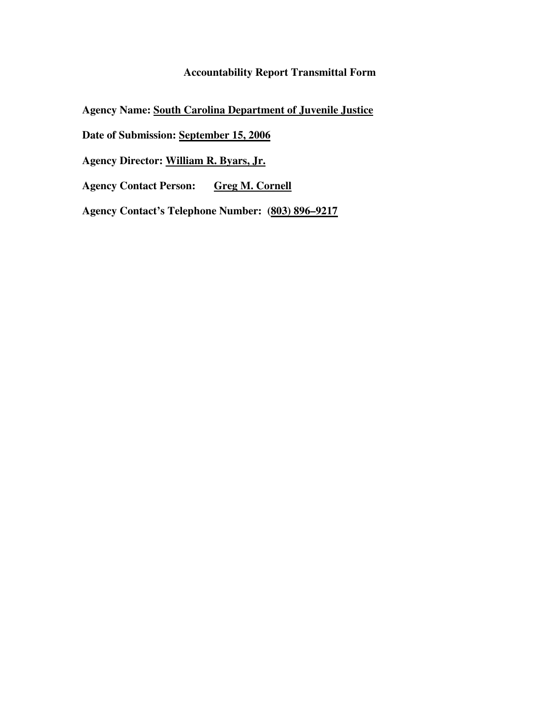## **Accountability Report Transmittal Form**

**Agency Name: South Carolina Department of Juvenile Justice**

**Date of Submission: September 15, 2006**

**Agency Director: William R. Byars, Jr.**

**Agency Contact Person: Greg M. Cornell**

**Agency Contact's Telephone Number: (803) 896–9217**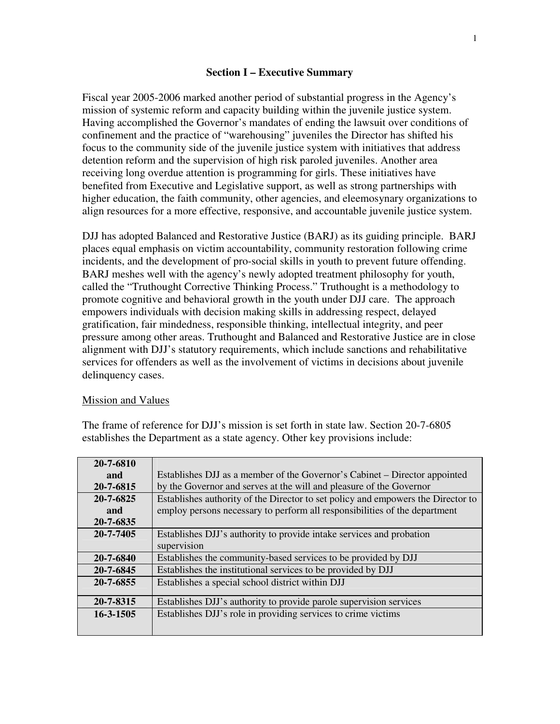#### **Section I – Executive Summary**

Fiscal year 2005-2006 marked another period of substantial progress in the Agency's mission of systemic reform and capacity building within the juvenile justice system. Having accomplished the Governor's mandates of ending the lawsuit over conditions of confinement and the practice of "warehousing" juveniles the Director has shifted his focus to the community side of the juvenile justice system with initiatives that address detention reform and the supervision of high risk paroled juveniles. Another area receiving long overdue attention is programming for girls. These initiatives have benefited from Executive and Legislative support, as well as strong partnerships with higher education, the faith community, other agencies, and eleemosynary organizations to align resources for a more effective, responsive, and accountable juvenile justice system.

DJJ has adopted Balanced and Restorative Justice (BARJ) as its guiding principle. BARJ places equal emphasis on victim accountability, community restoration following crime incidents, and the development of pro-social skills in youth to prevent future offending. BARJ meshes well with the agency's newly adopted treatment philosophy for youth, called the "Truthought Corrective Thinking Process." Truthought is a methodology to promote cognitive and behavioral growth in the youth under DJJ care. The approach empowers individuals with decision making skills in addressing respect, delayed gratification, fair mindedness, responsible thinking, intellectual integrity, and peer pressure among other areas. Truthought and Balanced and Restorative Justice are in close alignment with DJJ's statutory requirements, which include sanctions and rehabilitative services for offenders as well as the involvement of victims in decisions about juvenile delinquency cases.

#### Mission and Values

The frame of reference for DJJ's mission is set forth in state law. Section 20-7-6805 establishes the Department as a state agency. Other key provisions include:

| 20-7-6810 |                                                                                  |
|-----------|----------------------------------------------------------------------------------|
| and       | Establishes DJJ as a member of the Governor's Cabinet – Director appointed       |
| 20-7-6815 | by the Governor and serves at the will and pleasure of the Governor              |
| 20-7-6825 | Establishes authority of the Director to set policy and empowers the Director to |
| and       | employ persons necessary to perform all responsibilities of the department       |
| 20-7-6835 |                                                                                  |
| 20-7-7405 | Establishes DJJ's authority to provide intake services and probation             |
|           | supervision                                                                      |
| 20-7-6840 | Establishes the community-based services to be provided by DJJ                   |
| 20-7-6845 | Establishes the institutional services to be provided by DJJ                     |
| 20-7-6855 | Establishes a special school district within DJJ                                 |
|           |                                                                                  |
| 20-7-8315 | Establishes DJJ's authority to provide parole supervision services               |
| 16-3-1505 | Establishes DJJ's role in providing services to crime victims                    |
|           |                                                                                  |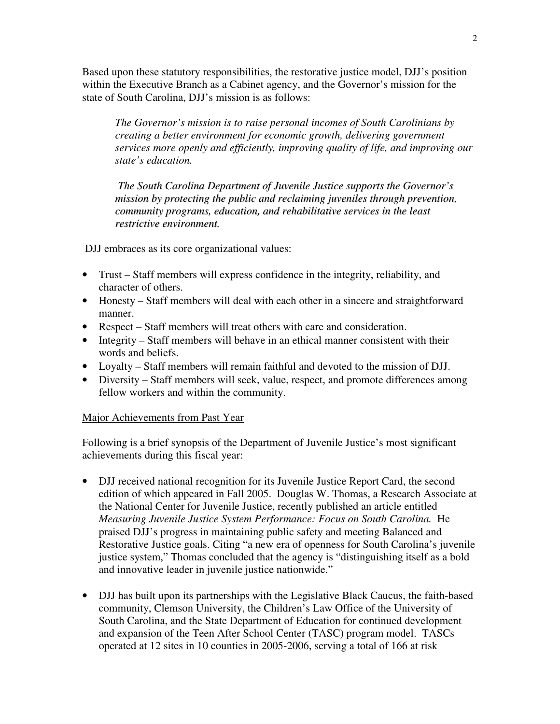Based upon these statutory responsibilities, the restorative justice model, DJJ's position within the Executive Branch as a Cabinet agency, and the Governor's mission for the state of South Carolina, DJJ's mission is as follows:

*The Governor's mission is to raise personal incomes of South Carolinians by creating a better environment for economic growth, delivering government services more openly and efficiently, improving quality of life, and improving our state's education.* 

*The South Carolina Department of Juvenile Justice supports the Governor's mission by protecting the public and reclaiming juveniles through prevention, community programs, education, and rehabilitative services in the least restrictive environment.*

DJJ embraces as its core organizational values:

- Trust Staff members will express confidence in the integrity, reliability, and character of others.
- Honesty Staff members will deal with each other in a sincere and straightforward manner.
- Respect Staff members will treat others with care and consideration.
- Integrity Staff members will behave in an ethical manner consistent with their words and beliefs.
- Loyalty Staff members will remain faithful and devoted to the mission of DJJ.
- Diversity Staff members will seek, value, respect, and promote differences among fellow workers and within the community.

## Major Achievements from Past Year

Following is a brief synopsis of the Department of Juvenile Justice's most significant achievements during this fiscal year:

- DJJ received national recognition for its Juvenile Justice Report Card, the second edition of which appeared in Fall 2005. Douglas W. Thomas, a Research Associate at the National Center for Juvenile Justice, recently published an article entitled *Measuring Juvenile Justice System Performance: Focus on South Carolina.* He praised DJJ's progress in maintaining public safety and meeting Balanced and Restorative Justice goals. Citing "a new era of openness for South Carolina's juvenile justice system," Thomas concluded that the agency is "distinguishing itself as a bold and innovative leader in juvenile justice nationwide."
- DJJ has built upon its partnerships with the Legislative Black Caucus, the faith-based community, Clemson University, the Children's Law Office of the University of South Carolina, and the State Department of Education for continued development and expansion of the Teen After School Center (TASC) program model. TASCs operated at 12 sites in 10 counties in 2005-2006, serving a total of 166 at risk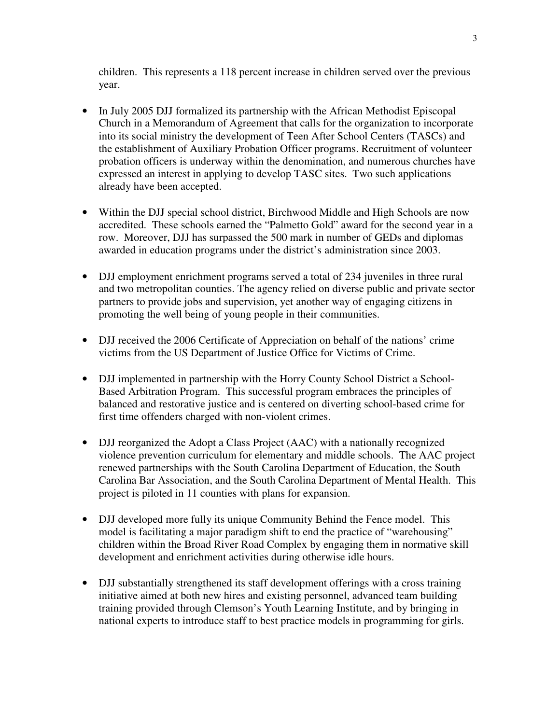children. This represents a 118 percent increase in children served over the previous year.

- In July 2005 DJJ formalized its partnership with the African Methodist Episcopal Church in a Memorandum of Agreement that calls for the organization to incorporate into its social ministry the development of Teen After School Centers (TASCs) and the establishment of Auxiliary Probation Officer programs. Recruitment of volunteer probation officers is underway within the denomination, and numerous churches have expressed an interest in applying to develop TASC sites. Two such applications already have been accepted.
- Within the DJJ special school district, Birchwood Middle and High Schools are now accredited. These schools earned the "Palmetto Gold" award for the second year in a row. Moreover, DJJ has surpassed the 500 mark in number of GEDs and diplomas awarded in education programs under the district's administration since 2003.
- DJJ employment enrichment programs served a total of 234 juveniles in three rural and two metropolitan counties. The agency relied on diverse public and private sector partners to provide jobs and supervision, yet another way of engaging citizens in promoting the well being of young people in their communities.
- DJJ received the 2006 Certificate of Appreciation on behalf of the nations' crime victims from the US Department of Justice Office for Victims of Crime.
- DJJ implemented in partnership with the Horry County School District a School-Based Arbitration Program. This successful program embraces the principles of balanced and restorative justice and is centered on diverting school-based crime for first time offenders charged with non-violent crimes.
- DJJ reorganized the Adopt a Class Project (AAC) with a nationally recognized violence prevention curriculum for elementary and middle schools. The AAC project renewed partnerships with the South Carolina Department of Education, the South Carolina Bar Association, and the South Carolina Department of Mental Health. This project is piloted in 11 counties with plans for expansion.
- DJJ developed more fully its unique Community Behind the Fence model. This model is facilitating a major paradigm shift to end the practice of "warehousing" children within the Broad River Road Complex by engaging them in normative skill development and enrichment activities during otherwise idle hours.
- DJJ substantially strengthened its staff development offerings with a cross training initiative aimed at both new hires and existing personnel, advanced team building training provided through Clemson's Youth Learning Institute, and by bringing in national experts to introduce staff to best practice models in programming for girls.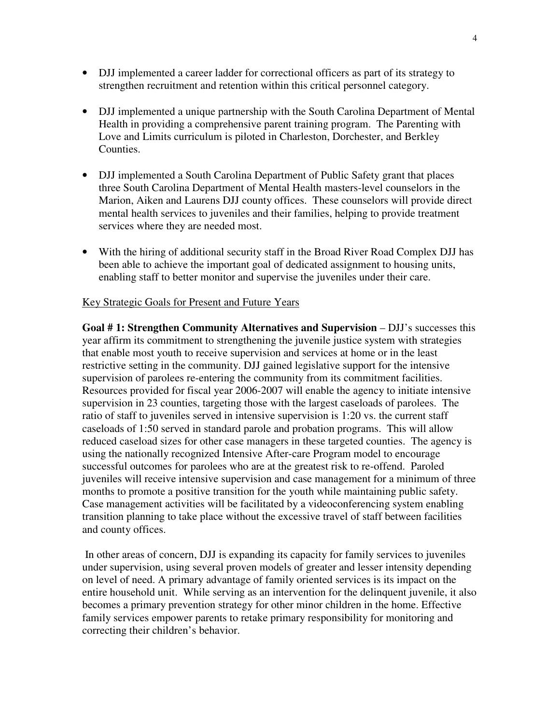- DJJ implemented a career ladder for correctional officers as part of its strategy to strengthen recruitment and retention within this critical personnel category.
- DJJ implemented a unique partnership with the South Carolina Department of Mental Health in providing a comprehensive parent training program. The Parenting with Love and Limits curriculum is piloted in Charleston, Dorchester, and Berkley Counties.
- DJJ implemented a South Carolina Department of Public Safety grant that places three South Carolina Department of Mental Health masters-level counselors in the Marion, Aiken and Laurens DJJ county offices. These counselors will provide direct mental health services to juveniles and their families, helping to provide treatment services where they are needed most.
- With the hiring of additional security staff in the Broad River Road Complex DJJ has been able to achieve the important goal of dedicated assignment to housing units, enabling staff to better monitor and supervise the juveniles under their care.

#### Key Strategic Goals for Present and Future Years

**Goal # 1: Strengthen Community Alternatives and Supervision** – DJJ's successes this year affirm its commitment to strengthening the juvenile justice system with strategies that enable most youth to receive supervision and services at home or in the least restrictive setting in the community. DJJ gained legislative support for the intensive supervision of parolees re-entering the community from its commitment facilities. Resources provided for fiscal year 2006-2007 will enable the agency to initiate intensive supervision in 23 counties, targeting those with the largest caseloads of parolees. The ratio of staff to juveniles served in intensive supervision is 1:20 vs. the current staff caseloads of 1:50 served in standard parole and probation programs. This will allow reduced caseload sizes for other case managers in these targeted counties. The agency is using the nationally recognized Intensive After-care Program model to encourage successful outcomes for parolees who are at the greatest risk to re-offend. Paroled juveniles will receive intensive supervision and case management for a minimum of three months to promote a positive transition for the youth while maintaining public safety. Case management activities will be facilitated by a videoconferencing system enabling transition planning to take place without the excessive travel of staff between facilities and county offices.

 In other areas of concern, DJJ is expanding its capacity for family services to juveniles under supervision, using several proven models of greater and lesser intensity depending on level of need. A primary advantage of family oriented services is its impact on the entire household unit. While serving as an intervention for the delinquent juvenile, it also becomes a primary prevention strategy for other minor children in the home. Effective family services empower parents to retake primary responsibility for monitoring and correcting their children's behavior.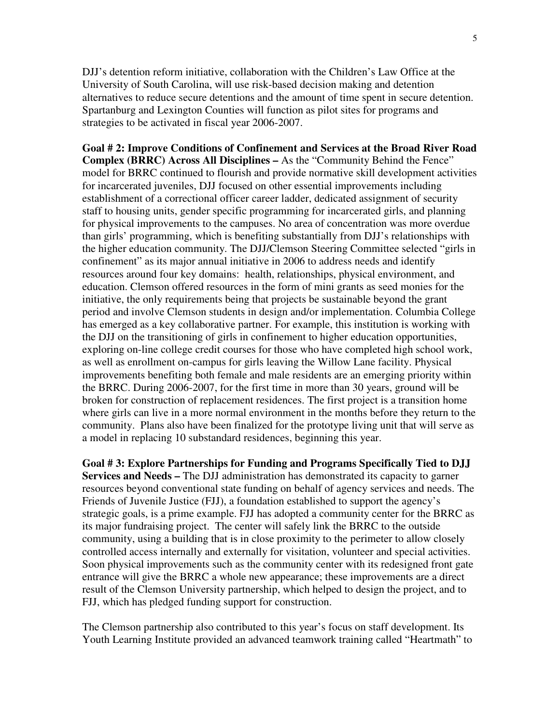DJJ's detention reform initiative, collaboration with the Children's Law Office at the University of South Carolina, will use risk-based decision making and detention alternatives to reduce secure detentions and the amount of time spent in secure detention. Spartanburg and Lexington Counties will function as pilot sites for programs and strategies to be activated in fiscal year 2006-2007.

**Goal # 2: Improve Conditions of Confinement and Services at the Broad River Road Complex (BRRC) Across All Disciplines –** As the "Community Behind the Fence" model for BRRC continued to flourish and provide normative skill development activities for incarcerated juveniles, DJJ focused on other essential improvements including establishment of a correctional officer career ladder, dedicated assignment of security staff to housing units, gender specific programming for incarcerated girls, and planning for physical improvements to the campuses. No area of concentration was more overdue than girls' programming, which is benefiting substantially from DJJ's relationships with the higher education community. The DJJ/Clemson Steering Committee selected "girls in confinement" as its major annual initiative in 2006 to address needs and identify resources around four key domains: health, relationships, physical environment, and education. Clemson offered resources in the form of mini grants as seed monies for the initiative, the only requirements being that projects be sustainable beyond the grant period and involve Clemson students in design and/or implementation. Columbia College has emerged as a key collaborative partner. For example, this institution is working with the DJJ on the transitioning of girls in confinement to higher education opportunities, exploring on-line college credit courses for those who have completed high school work, as well as enrollment on-campus for girls leaving the Willow Lane facility. Physical improvements benefiting both female and male residents are an emerging priority within the BRRC. During 2006-2007, for the first time in more than 30 years, ground will be broken for construction of replacement residences. The first project is a transition home where girls can live in a more normal environment in the months before they return to the community. Plans also have been finalized for the prototype living unit that will serve as a model in replacing 10 substandard residences, beginning this year.

**Goal # 3: Explore Partnerships for Funding and Programs Specifically Tied to DJJ Services and Needs –** The DJJ administration has demonstrated its capacity to garner resources beyond conventional state funding on behalf of agency services and needs. The Friends of Juvenile Justice (FJJ), a foundation established to support the agency's strategic goals, is a prime example. FJJ has adopted a community center for the BRRC as its major fundraising project. The center will safely link the BRRC to the outside community, using a building that is in close proximity to the perimeter to allow closely controlled access internally and externally for visitation, volunteer and special activities. Soon physical improvements such as the community center with its redesigned front gate entrance will give the BRRC a whole new appearance; these improvements are a direct result of the Clemson University partnership, which helped to design the project, and to FJJ, which has pledged funding support for construction.

The Clemson partnership also contributed to this year's focus on staff development. Its Youth Learning Institute provided an advanced teamwork training called "Heartmath" to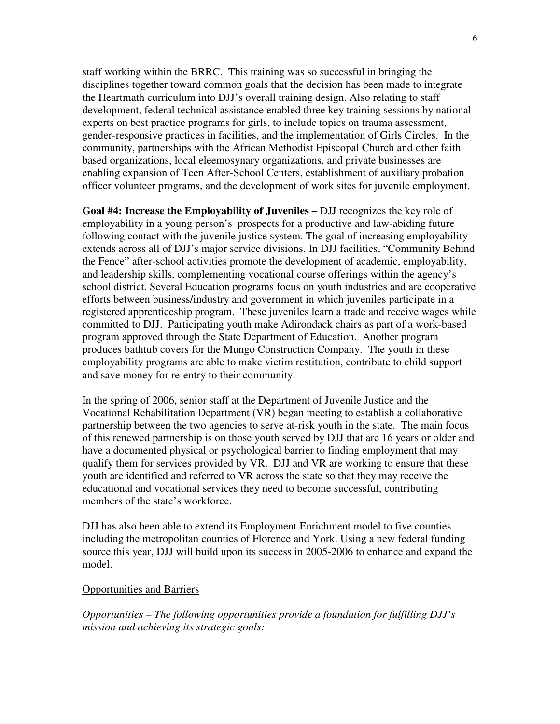staff working within the BRRC. This training was so successful in bringing the disciplines together toward common goals that the decision has been made to integrate the Heartmath curriculum into DJJ's overall training design. Also relating to staff development, federal technical assistance enabled three key training sessions by national experts on best practice programs for girls, to include topics on trauma assessment, gender-responsive practices in facilities, and the implementation of Girls Circles. In the community, partnerships with the African Methodist Episcopal Church and other faith based organizations, local eleemosynary organizations, and private businesses are enabling expansion of Teen After-School Centers, establishment of auxiliary probation officer volunteer programs, and the development of work sites for juvenile employment.

**Goal #4: Increase the Employability of Juveniles –** DJJ recognizes the key role of employability in a young person's prospects for a productive and law-abiding future following contact with the juvenile justice system. The goal of increasing employability extends across all of DJJ's major service divisions. In DJJ facilities, "Community Behind the Fence" after-school activities promote the development of academic, employability, and leadership skills, complementing vocational course offerings within the agency's school district. Several Education programs focus on youth industries and are cooperative efforts between business/industry and government in which juveniles participate in a registered apprenticeship program. These juveniles learn a trade and receive wages while committed to DJJ. Participating youth make Adirondack chairs as part of a work-based program approved through the State Department of Education. Another program produces bathtub covers for the Mungo Construction Company. The youth in these employability programs are able to make victim restitution, contribute to child support and save money for re-entry to their community.

In the spring of 2006, senior staff at the Department of Juvenile Justice and the Vocational Rehabilitation Department (VR) began meeting to establish a collaborative partnership between the two agencies to serve at-risk youth in the state. The main focus of this renewed partnership is on those youth served by DJJ that are 16 years or older and have a documented physical or psychological barrier to finding employment that may qualify them for services provided by VR. DJJ and VR are working to ensure that these youth are identified and referred to VR across the state so that they may receive the educational and vocational services they need to become successful, contributing members of the state's workforce.

DJJ has also been able to extend its Employment Enrichment model to five counties including the metropolitan counties of Florence and York. Using a new federal funding source this year, DJJ will build upon its success in 2005-2006 to enhance and expand the model.

#### Opportunities and Barriers

*Opportunities – The following opportunities provide a foundation for fulfilling DJJ's mission and achieving its strategic goals:*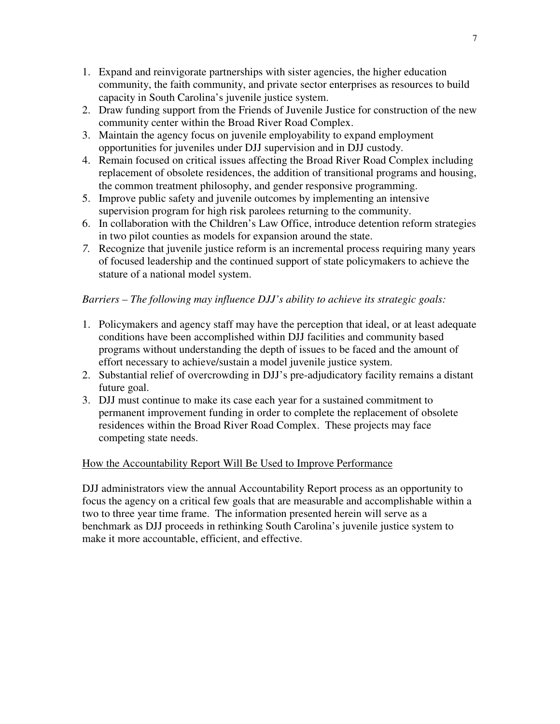- 1. Expand and reinvigorate partnerships with sister agencies, the higher education community, the faith community, and private sector enterprises as resources to build capacity in South Carolina's juvenile justice system.
- 2. Draw funding support from the Friends of Juvenile Justice for construction of the new community center within the Broad River Road Complex.
- 3. Maintain the agency focus on juvenile employability to expand employment opportunities for juveniles under DJJ supervision and in DJJ custody.
- 4. Remain focused on critical issues affecting the Broad River Road Complex including replacement of obsolete residences, the addition of transitional programs and housing, the common treatment philosophy, and gender responsive programming.
- 5. Improve public safety and juvenile outcomes by implementing an intensive supervision program for high risk parolees returning to the community.
- 6. In collaboration with the Children's Law Office, introduce detention reform strategies in two pilot counties as models for expansion around the state.
- *7.* Recognize that juvenile justice reform is an incremental process requiring many years of focused leadership and the continued support of state policymakers to achieve the stature of a national model system.

## *Barriers – The following may influence DJJ's ability to achieve its strategic goals:*

- 1. Policymakers and agency staff may have the perception that ideal, or at least adequate conditions have been accomplished within DJJ facilities and community based programs without understanding the depth of issues to be faced and the amount of effort necessary to achieve/sustain a model juvenile justice system.
- 2. Substantial relief of overcrowding in DJJ's pre-adjudicatory facility remains a distant future goal.
- 3. DJJ must continue to make its case each year for a sustained commitment to permanent improvement funding in order to complete the replacement of obsolete residences within the Broad River Road Complex. These projects may face competing state needs.

### How the Accountability Report Will Be Used to Improve Performance

DJJ administrators view the annual Accountability Report process as an opportunity to focus the agency on a critical few goals that are measurable and accomplishable within a two to three year time frame. The information presented herein will serve as a benchmark as DJJ proceeds in rethinking South Carolina's juvenile justice system to make it more accountable, efficient, and effective.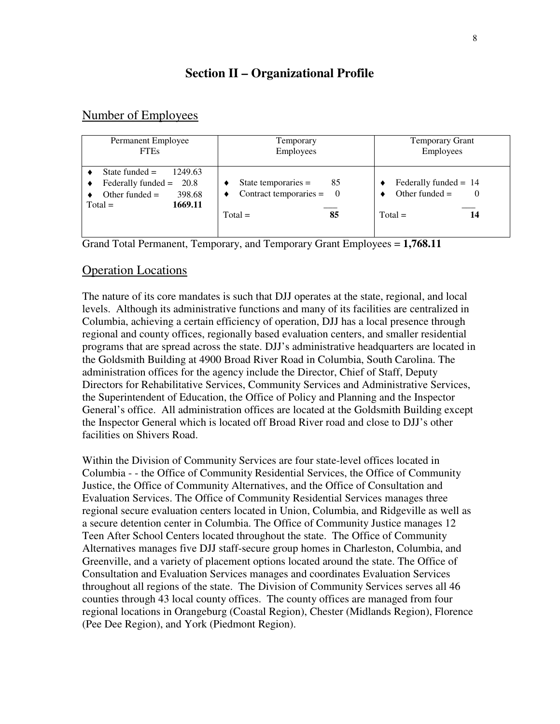## **Section II – Organizational Profile**

## Number of Employees

| Permanent Employee                                                                                             | Temporary                                                                    | <b>Temporary Grant</b>                                         |
|----------------------------------------------------------------------------------------------------------------|------------------------------------------------------------------------------|----------------------------------------------------------------|
| <b>FTEs</b>                                                                                                    | <b>Employees</b>                                                             | Employees                                                      |
| State funded $=$<br>1249.63<br>Federally funded $= 20.8$<br>Other funded $=$<br>398.68<br>1669.11<br>$Total =$ | State temporaries $=$<br>85<br>Contract temporaries = $0$<br>$Total =$<br>85 | Federally funded $= 14$<br>Other funded $=$<br>$Total =$<br>14 |

Grand Total Permanent, Temporary, and Temporary Grant Employees = **1,768.11** 

## Operation Locations

The nature of its core mandates is such that DJJ operates at the state, regional, and local levels. Although its administrative functions and many of its facilities are centralized in Columbia, achieving a certain efficiency of operation, DJJ has a local presence through regional and county offices, regionally based evaluation centers, and smaller residential programs that are spread across the state. DJJ's administrative headquarters are located in the Goldsmith Building at 4900 Broad River Road in Columbia, South Carolina. The administration offices for the agency include the Director, Chief of Staff, Deputy Directors for Rehabilitative Services, Community Services and Administrative Services, the Superintendent of Education, the Office of Policy and Planning and the Inspector General's office. All administration offices are located at the Goldsmith Building except the Inspector General which is located off Broad River road and close to DJJ's other facilities on Shivers Road.

Within the Division of Community Services are four state-level offices located in Columbia - - the Office of Community Residential Services, the Office of Community Justice, the Office of Community Alternatives, and the Office of Consultation and Evaluation Services. The Office of Community Residential Services manages three regional secure evaluation centers located in Union, Columbia, and Ridgeville as well as a secure detention center in Columbia. The Office of Community Justice manages 12 Teen After School Centers located throughout the state. The Office of Community Alternatives manages five DJJ staff-secure group homes in Charleston, Columbia, and Greenville, and a variety of placement options located around the state. The Office of Consultation and Evaluation Services manages and coordinates Evaluation Services throughout all regions of the state. The Division of Community Services serves all 46 counties through 43 local county offices. The county offices are managed from four regional locations in Orangeburg (Coastal Region), Chester (Midlands Region), Florence (Pee Dee Region), and York (Piedmont Region).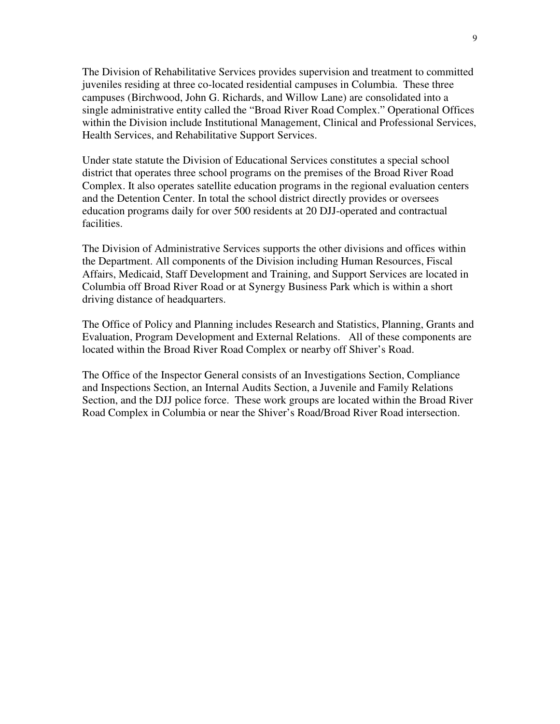The Division of Rehabilitative Services provides supervision and treatment to committed juveniles residing at three co-located residential campuses in Columbia. These three campuses (Birchwood, John G. Richards, and Willow Lane) are consolidated into a single administrative entity called the "Broad River Road Complex." Operational Offices within the Division include Institutional Management, Clinical and Professional Services, Health Services, and Rehabilitative Support Services.

Under state statute the Division of Educational Services constitutes a special school district that operates three school programs on the premises of the Broad River Road Complex. It also operates satellite education programs in the regional evaluation centers and the Detention Center. In total the school district directly provides or oversees education programs daily for over 500 residents at 20 DJJ-operated and contractual facilities.

The Division of Administrative Services supports the other divisions and offices within the Department. All components of the Division including Human Resources, Fiscal Affairs, Medicaid, Staff Development and Training, and Support Services are located in Columbia off Broad River Road or at Synergy Business Park which is within a short driving distance of headquarters.

The Office of Policy and Planning includes Research and Statistics, Planning, Grants and Evaluation, Program Development and External Relations. All of these components are located within the Broad River Road Complex or nearby off Shiver's Road.

The Office of the Inspector General consists of an Investigations Section, Compliance and Inspections Section, an Internal Audits Section, a Juvenile and Family Relations Section, and the DJJ police force. These work groups are located within the Broad River Road Complex in Columbia or near the Shiver's Road/Broad River Road intersection.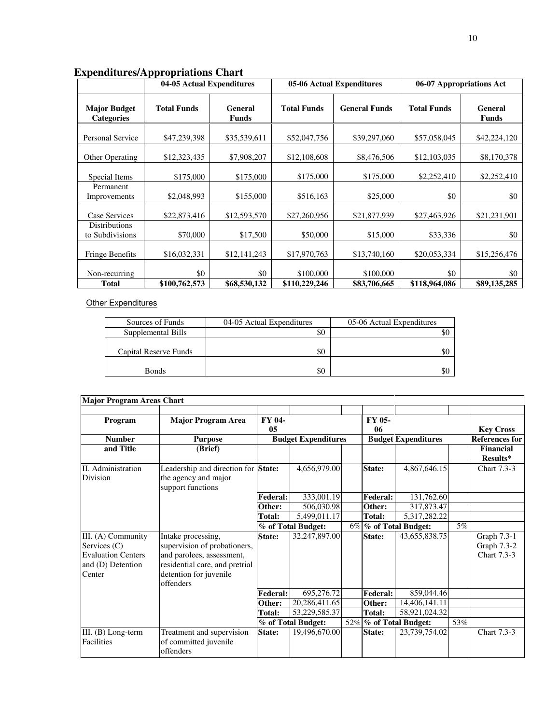|                                          | 04-05 Actual Expenditures |                         | 05-06 Actual Expenditures |                      | 06-07 Appropriations Act |                         |
|------------------------------------------|---------------------------|-------------------------|---------------------------|----------------------|--------------------------|-------------------------|
| <b>Major Budget</b><br><b>Categories</b> | <b>Total Funds</b>        | General<br><b>Funds</b> | <b>Total Funds</b>        | <b>General Funds</b> | <b>Total Funds</b>       | General<br><b>Funds</b> |
| Personal Service                         | \$47,239,398              | \$35,539,611            | \$52,047,756              | \$39,297,060         | \$57,058,045             | \$42,224,120            |
| Other Operating                          | \$12,323,435              | \$7,908,207             | \$12,108,608              | \$8,476,506          | \$12,103,035             | \$8,170,378             |
| Special Items                            | \$175,000                 | \$175,000               | \$175,000                 | \$175,000            | \$2,252,410              | \$2,252,410             |
| Permanent<br>Improvements                | \$2,048,993               | \$155,000               | \$516,163                 | \$25,000             | \$0                      | \$0                     |
| Case Services                            | \$22,873,416              | \$12,593,570            | \$27,260,956              | \$21,877,939         | \$27,463,926             | \$21,231,901            |
| <b>Distributions</b><br>to Subdivisions  | \$70,000                  | \$17,500                | \$50,000                  | \$15,000             | \$33,336                 | \$0                     |
| <b>Fringe Benefits</b>                   | \$16,032,331              | \$12,141,243            | \$17,970,763              | \$13,740,160         | \$20,053,334             | \$15,256,476            |
| Non-recurring                            | \$0                       | \$0                     | \$100,000                 | \$100,000            | \$0                      | \$0                     |
| Total                                    | \$100,762,573             | \$68,530,132            | \$110,229,246             | \$83,706,665         | \$118,964,086            | \$89,135,285            |

## **Expenditures/Appropriations Chart**

## **Other Expenditures**

| Sources of Funds      | 04-05 Actual Expenditures | 05-06 Actual Expenditures |
|-----------------------|---------------------------|---------------------------|
| Supplemental Bills    | \$0                       | SС                        |
|                       |                           |                           |
| Capital Reserve Funds | \$0                       | \$0                       |
|                       |                           |                           |
| <b>Bonds</b>          | \$0                       | \$0                       |

| <b>Major Program Areas Chart</b>                                                                 |                                                                                                                                                          |                 |                            |       |                 |                            |     |                                                  |
|--------------------------------------------------------------------------------------------------|----------------------------------------------------------------------------------------------------------------------------------------------------------|-----------------|----------------------------|-------|-----------------|----------------------------|-----|--------------------------------------------------|
| Program<br><b>Number</b>                                                                         | <b>Major Program Area</b><br><b>Purpose</b>                                                                                                              | FY 04-<br>05    | <b>Budget Expenditures</b> |       | FY 05-<br>06    | <b>Budget Expenditures</b> |     | <b>Key Cross</b><br><b>References for</b>        |
| and Title                                                                                        | (Brief)                                                                                                                                                  |                 |                            |       |                 |                            |     | Financial<br>Results*                            |
| II. Administration<br>Division                                                                   | Leadership and direction for State:<br>the agency and major<br>support functions                                                                         |                 | 4,656,979.00               |       | State:          | 4,867,646.15               |     | <b>Chart 7.3-3</b>                               |
|                                                                                                  |                                                                                                                                                          | Federal:        | 333,001.19                 |       | <b>Federal:</b> | 131,762.60                 |     |                                                  |
|                                                                                                  |                                                                                                                                                          | Other:          | 506,030.98                 |       | Other:          | 317,873.47                 |     |                                                  |
|                                                                                                  |                                                                                                                                                          | <b>Total:</b>   | 5,499,011.17               |       | Total:          | 5,317,282.22               |     |                                                  |
|                                                                                                  |                                                                                                                                                          |                 | % of Total Budget:         | $6\%$ |                 | % of Total Budget:         | 5%  |                                                  |
| III. (A) Community<br>Services $(C)$<br><b>Evaluation Centers</b><br>and (D) Detention<br>Center | Intake processing,<br>supervision of probationers,<br>and parolees, assessment,<br>residential care, and pretrial<br>detention for juvenile<br>offenders | State:          | 32,247,897.00              |       | State:          | 43,655,838.75              |     | Graph 7.3-1<br>Graph 7.3-2<br><b>Chart</b> 7.3-3 |
|                                                                                                  |                                                                                                                                                          | <b>Federal:</b> | 695,276.72                 |       | <b>Federal:</b> | 859,044.46                 |     |                                                  |
|                                                                                                  |                                                                                                                                                          | Other:          | 20,286,411.65              |       | Other:          | 14,406,141.11              |     |                                                  |
|                                                                                                  |                                                                                                                                                          | Total:          | 53,229,585.37              |       | <b>Total:</b>   | 58,921,024.32              |     |                                                  |
|                                                                                                  |                                                                                                                                                          |                 | % of Total Budget:         |       |                 | 52%   % of Total Budget:   | 53% |                                                  |
| III. $(B)$ Long-term<br><b>Facilities</b>                                                        | Treatment and supervision<br>of committed juvenile<br>offenders                                                                                          | State:          | 19,496,670.00              |       | State:          | 23,739,754.02              |     | <b>Chart</b> 7.3-3                               |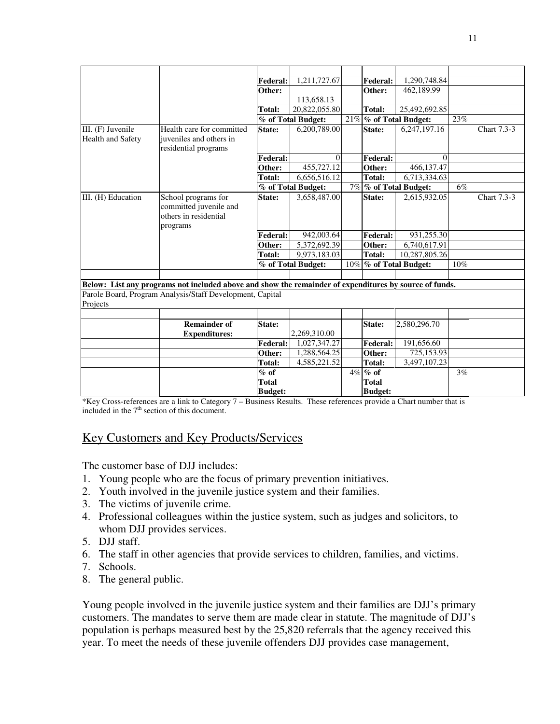|                          |                                                                                                        | <b>Federal:</b> | 1,211,727.67       |     | <b>Federal:</b> | 1,290,748.84           |     |             |
|--------------------------|--------------------------------------------------------------------------------------------------------|-----------------|--------------------|-----|-----------------|------------------------|-----|-------------|
|                          |                                                                                                        | Other:          |                    |     | Other:          | 462,189.99             |     |             |
|                          |                                                                                                        |                 | 113,658.13         |     |                 |                        |     |             |
|                          |                                                                                                        | Total:          | 20.822,055.80      |     | Total:          | 25,492,692.85          |     |             |
|                          |                                                                                                        |                 | % of Total Budget: |     |                 | 21% % of Total Budget: | 23% |             |
| III. (F) Juvenile        | Health care for committed                                                                              | State:          | 6,200,789.00       |     | State:          | 6,247,197.16           |     | Chart 7.3-3 |
| <b>Health and Safety</b> | iuveniles and others in                                                                                |                 |                    |     |                 |                        |     |             |
|                          | residential programs                                                                                   |                 |                    |     |                 |                        |     |             |
|                          |                                                                                                        | <b>Federal:</b> | $\theta$           |     | <b>Federal:</b> | $\Omega$               |     |             |
|                          |                                                                                                        | Other:          | 455,727.12         |     | Other:          | 466.137.47             |     |             |
|                          |                                                                                                        | <b>Total:</b>   | 6,656,516.12       |     | <b>Total:</b>   | 6,713,334.63           |     |             |
|                          |                                                                                                        |                 | % of Total Budget: |     |                 | 7% % of Total Budget:  | 6%  |             |
| III. (H) Education       | School programs for                                                                                    | State:          | 3,658,487.00       |     | State:          | 2,615,932.05           |     | Chart 7.3-3 |
|                          | committed juvenile and                                                                                 |                 |                    |     |                 |                        |     |             |
|                          | others in residential                                                                                  |                 |                    |     |                 |                        |     |             |
|                          | programs                                                                                               |                 |                    |     |                 |                        |     |             |
|                          |                                                                                                        | <b>Federal:</b> | 942,003.64         |     | <b>Federal:</b> | 931,255.30             |     |             |
|                          |                                                                                                        | Other:          | 5,372,692.39       |     | Other:          | 6,740,617.91           |     |             |
|                          |                                                                                                        | <b>Total:</b>   | 9,973,183.03       |     | Total:          | 10,287,805.26          |     |             |
|                          |                                                                                                        |                 | % of Total Budget: | 10% |                 | % of Total Budget:     | 10% |             |
|                          |                                                                                                        |                 |                    |     |                 |                        |     |             |
|                          | Below: List any programs not included above and show the remainder of expenditures by source of funds. |                 |                    |     |                 |                        |     |             |
|                          | Parole Board, Program Analysis/Staff Development, Capital                                              |                 |                    |     |                 |                        |     |             |
| Projects                 |                                                                                                        |                 |                    |     |                 |                        |     |             |
|                          |                                                                                                        |                 |                    |     |                 |                        |     |             |
|                          | <b>Remainder of</b>                                                                                    | State:          |                    |     | State:          | 2,580,296.70           |     |             |
|                          | <b>Expenditures:</b>                                                                                   |                 | 2,269,310.00       |     |                 |                        |     |             |
|                          |                                                                                                        | <b>Federal:</b> | 1,027,347.27       |     | Federal:        | 191,656.60             |     |             |
|                          |                                                                                                        | Other:          | 1,288,564.25       |     | Other:          | 725,153.93             |     |             |
|                          |                                                                                                        | Total:          | 4,585,221.52       |     | <b>Total:</b>   | 3,497,107.23           |     |             |
|                          |                                                                                                        | % of            |                    |     | $4\%$ % of      |                        | 3%  |             |
|                          |                                                                                                        | <b>Total</b>    |                    |     | <b>Total</b>    |                        |     |             |
|                          |                                                                                                        | <b>Budget:</b>  |                    |     | <b>Budget:</b>  |                        |     |             |
|                          |                                                                                                        |                 |                    |     |                 |                        |     |             |

\*Key Cross-references are a link to Category 7 – Business Results. These references provide a Chart number that is included in the 7<sup>th</sup> section of this document.

## Key Customers and Key Products/Services

The customer base of DJJ includes:

- 1. Young people who are the focus of primary prevention initiatives.
- 2. Youth involved in the juvenile justice system and their families.
- 3. The victims of juvenile crime.
- 4. Professional colleagues within the justice system, such as judges and solicitors, to whom DJJ provides services.
- 5. DJJ staff.
- 6. The staff in other agencies that provide services to children, families, and victims.
- 7. Schools.
- 8. The general public.

Young people involved in the juvenile justice system and their families are DJJ's primary customers. The mandates to serve them are made clear in statute. The magnitude of DJJ's population is perhaps measured best by the 25,820 referrals that the agency received this year. To meet the needs of these juvenile offenders DJJ provides case management,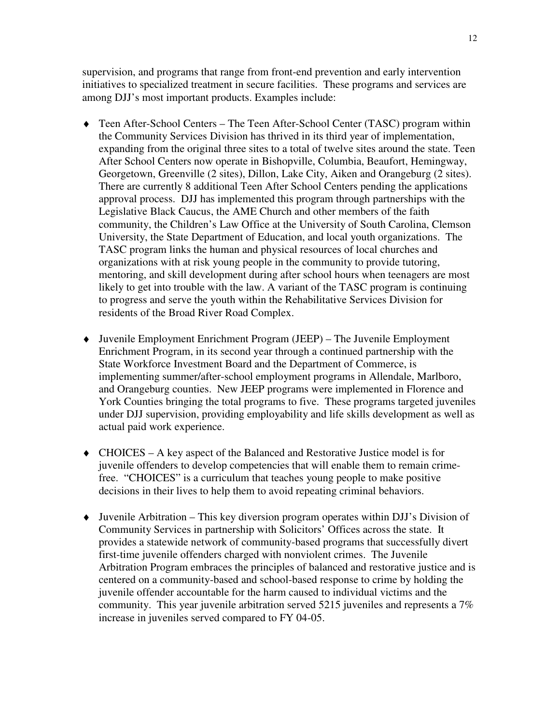supervision, and programs that range from front-end prevention and early intervention initiatives to specialized treatment in secure facilities. These programs and services are among DJJ's most important products. Examples include:

- ♦ Teen After-School Centers The Teen After-School Center (TASC) program within the Community Services Division has thrived in its third year of implementation, expanding from the original three sites to a total of twelve sites around the state. Teen After School Centers now operate in Bishopville, Columbia, Beaufort, Hemingway, Georgetown, Greenville (2 sites), Dillon, Lake City, Aiken and Orangeburg (2 sites). There are currently 8 additional Teen After School Centers pending the applications approval process. DJJ has implemented this program through partnerships with the Legislative Black Caucus, the AME Church and other members of the faith community, the Children's Law Office at the University of South Carolina, Clemson University, the State Department of Education, and local youth organizations. The TASC program links the human and physical resources of local churches and organizations with at risk young people in the community to provide tutoring, mentoring, and skill development during after school hours when teenagers are most likely to get into trouble with the law. A variant of the TASC program is continuing to progress and serve the youth within the Rehabilitative Services Division for residents of the Broad River Road Complex.
- ♦ Juvenile Employment Enrichment Program (JEEP) The Juvenile Employment Enrichment Program, in its second year through a continued partnership with the State Workforce Investment Board and the Department of Commerce, is implementing summer/after-school employment programs in Allendale, Marlboro, and Orangeburg counties. New JEEP programs were implemented in Florence and York Counties bringing the total programs to five. These programs targeted juveniles under DJJ supervision, providing employability and life skills development as well as actual paid work experience.
- ♦ CHOICES A key aspect of the Balanced and Restorative Justice model is for juvenile offenders to develop competencies that will enable them to remain crimefree. "CHOICES" is a curriculum that teaches young people to make positive decisions in their lives to help them to avoid repeating criminal behaviors.
- ♦ Juvenile Arbitration This key diversion program operates within DJJ's Division of Community Services in partnership with Solicitors' Offices across the state. It provides a statewide network of community-based programs that successfully divert first-time juvenile offenders charged with nonviolent crimes. The Juvenile Arbitration Program embraces the principles of balanced and restorative justice and is centered on a community-based and school-based response to crime by holding the juvenile offender accountable for the harm caused to individual victims and the community. This year juvenile arbitration served 5215 juveniles and represents a 7% increase in juveniles served compared to FY 04-05.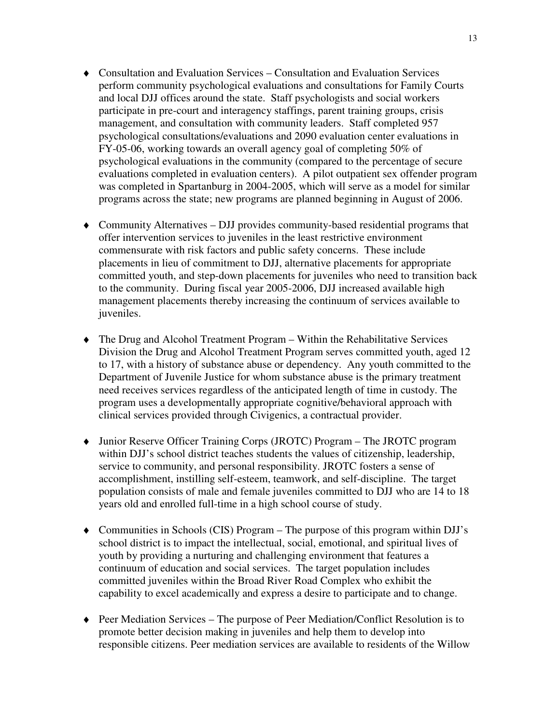- ♦ Consultation and Evaluation Services Consultation and Evaluation Services perform community psychological evaluations and consultations for Family Courts and local DJJ offices around the state. Staff psychologists and social workers participate in pre-court and interagency staffings, parent training groups, crisis management, and consultation with community leaders. Staff completed 957 psychological consultations/evaluations and 2090 evaluation center evaluations in FY-05-06, working towards an overall agency goal of completing 50% of psychological evaluations in the community (compared to the percentage of secure evaluations completed in evaluation centers). A pilot outpatient sex offender program was completed in Spartanburg in 2004-2005, which will serve as a model for similar programs across the state; new programs are planned beginning in August of 2006.
- ♦ Community Alternatives DJJ provides community-based residential programs that offer intervention services to juveniles in the least restrictive environment commensurate with risk factors and public safety concerns. These include placements in lieu of commitment to DJJ, alternative placements for appropriate committed youth, and step-down placements for juveniles who need to transition back to the community. During fiscal year 2005-2006, DJJ increased available high management placements thereby increasing the continuum of services available to juveniles.
- ♦ The Drug and Alcohol Treatment Program Within the Rehabilitative Services Division the Drug and Alcohol Treatment Program serves committed youth, aged 12 to 17, with a history of substance abuse or dependency. Any youth committed to the Department of Juvenile Justice for whom substance abuse is the primary treatment need receives services regardless of the anticipated length of time in custody. The program uses a developmentally appropriate cognitive/behavioral approach with clinical services provided through Civigenics, a contractual provider.
- ♦ Junior Reserve Officer Training Corps (JROTC) Program The JROTC program within DJJ's school district teaches students the values of citizenship, leadership, service to community, and personal responsibility. JROTC fosters a sense of accomplishment, instilling self-esteem, teamwork, and self-discipline. The target population consists of male and female juveniles committed to DJJ who are 14 to 18 years old and enrolled full-time in a high school course of study.
- ♦ Communities in Schools (CIS) Program The purpose of this program within DJJ's school district is to impact the intellectual, social, emotional, and spiritual lives of youth by providing a nurturing and challenging environment that features a continuum of education and social services. The target population includes committed juveniles within the Broad River Road Complex who exhibit the capability to excel academically and express a desire to participate and to change.
- ♦ Peer Mediation Services The purpose of Peer Mediation/Conflict Resolution is to promote better decision making in juveniles and help them to develop into responsible citizens. Peer mediation services are available to residents of the Willow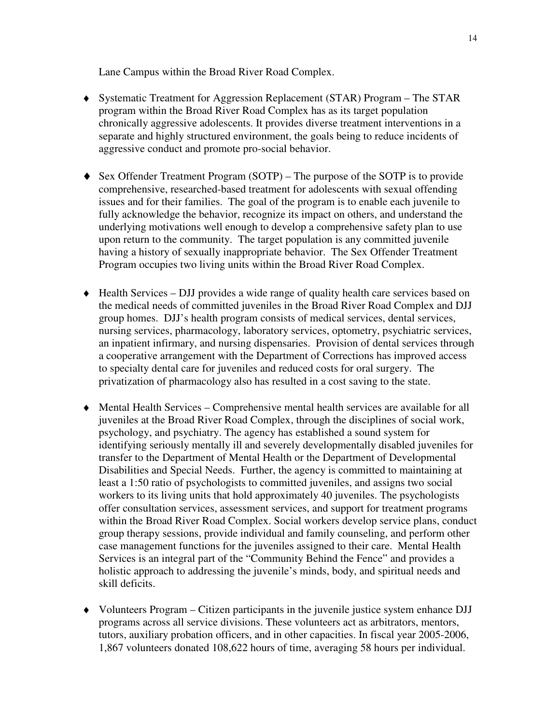Lane Campus within the Broad River Road Complex.

- ♦ Systematic Treatment for Aggression Replacement (STAR) Program The STAR program within the Broad River Road Complex has as its target population chronically aggressive adolescents. It provides diverse treatment interventions in a separate and highly structured environment, the goals being to reduce incidents of aggressive conduct and promote pro-social behavior.
- ♦ Sex Offender Treatment Program (SOTP) The purpose of the SOTP is to provide comprehensive, researched-based treatment for adolescents with sexual offending issues and for their families. The goal of the program is to enable each juvenile to fully acknowledge the behavior, recognize its impact on others, and understand the underlying motivations well enough to develop a comprehensive safety plan to use upon return to the community. The target population is any committed juvenile having a history of sexually inappropriate behavior. The Sex Offender Treatment Program occupies two living units within the Broad River Road Complex.
- ♦ Health Services DJJ provides a wide range of quality health care services based on the medical needs of committed juveniles in the Broad River Road Complex and DJJ group homes. DJJ's health program consists of medical services, dental services, nursing services, pharmacology, laboratory services, optometry, psychiatric services, an inpatient infirmary, and nursing dispensaries. Provision of dental services through a cooperative arrangement with the Department of Corrections has improved access to specialty dental care for juveniles and reduced costs for oral surgery. The privatization of pharmacology also has resulted in a cost saving to the state.
- ♦ Mental Health Services Comprehensive mental health services are available for all juveniles at the Broad River Road Complex, through the disciplines of social work, psychology, and psychiatry. The agency has established a sound system for identifying seriously mentally ill and severely developmentally disabled juveniles for transfer to the Department of Mental Health or the Department of Developmental Disabilities and Special Needs. Further, the agency is committed to maintaining at least a 1:50 ratio of psychologists to committed juveniles, and assigns two social workers to its living units that hold approximately 40 juveniles. The psychologists offer consultation services, assessment services, and support for treatment programs within the Broad River Road Complex. Social workers develop service plans, conduct group therapy sessions, provide individual and family counseling, and perform other case management functions for the juveniles assigned to their care. Mental Health Services is an integral part of the "Community Behind the Fence" and provides a holistic approach to addressing the juvenile's minds, body, and spiritual needs and skill deficits.
- ♦ Volunteers Program Citizen participants in the juvenile justice system enhance DJJ programs across all service divisions. These volunteers act as arbitrators, mentors, tutors, auxiliary probation officers, and in other capacities. In fiscal year 2005-2006, 1,867 volunteers donated 108,622 hours of time, averaging 58 hours per individual.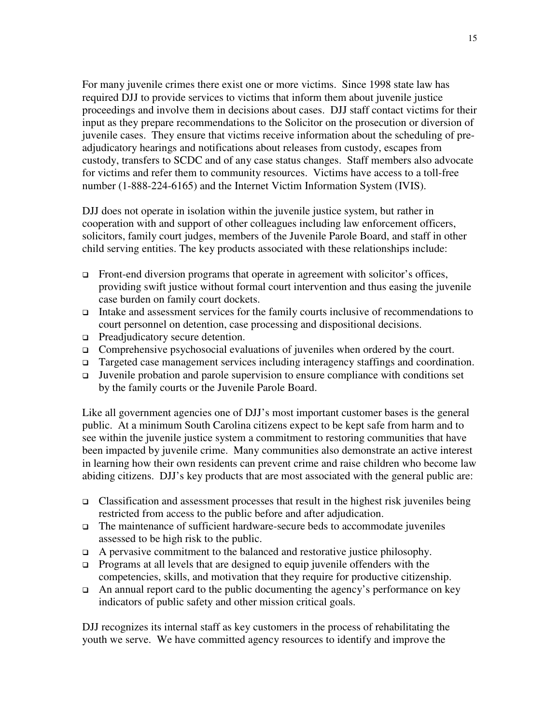For many juvenile crimes there exist one or more victims. Since 1998 state law has required DJJ to provide services to victims that inform them about juvenile justice proceedings and involve them in decisions about cases. DJJ staff contact victims for their input as they prepare recommendations to the Solicitor on the prosecution or diversion of juvenile cases. They ensure that victims receive information about the scheduling of preadjudicatory hearings and notifications about releases from custody, escapes from custody, transfers to SCDC and of any case status changes. Staff members also advocate for victims and refer them to community resources. Victims have access to a toll-free number (1-888-224-6165) and the Internet Victim Information System (IVIS).

DJJ does not operate in isolation within the juvenile justice system, but rather in cooperation with and support of other colleagues including law enforcement officers, solicitors, family court judges, members of the Juvenile Parole Board, and staff in other child serving entities. The key products associated with these relationships include:

- $\Box$  Front-end diversion programs that operate in agreement with solicitor's offices, providing swift justice without formal court intervention and thus easing the juvenile case burden on family court dockets.
- Intake and assessment services for the family courts inclusive of recommendations to court personnel on detention, case processing and dispositional decisions.
- □ Preadjudicatory secure detention.
- Comprehensive psychosocial evaluations of juveniles when ordered by the court.
- □ Targeted case management services including interagency staffings and coordination.
- Juvenile probation and parole supervision to ensure compliance with conditions set by the family courts or the Juvenile Parole Board.

Like all government agencies one of DJJ's most important customer bases is the general public. At a minimum South Carolina citizens expect to be kept safe from harm and to see within the juvenile justice system a commitment to restoring communities that have been impacted by juvenile crime. Many communities also demonstrate an active interest in learning how their own residents can prevent crime and raise children who become law abiding citizens. DJJ's key products that are most associated with the general public are:

- Classification and assessment processes that result in the highest risk juveniles being restricted from access to the public before and after adjudication.
- The maintenance of sufficient hardware-secure beds to accommodate juveniles assessed to be high risk to the public.
- $\Box$  A pervasive commitment to the balanced and restorative justice philosophy.
- **Programs at all levels that are designed to equip juvenile offenders with the** competencies, skills, and motivation that they require for productive citizenship.
- $\Box$  An annual report card to the public documenting the agency's performance on key indicators of public safety and other mission critical goals.

DJJ recognizes its internal staff as key customers in the process of rehabilitating the youth we serve. We have committed agency resources to identify and improve the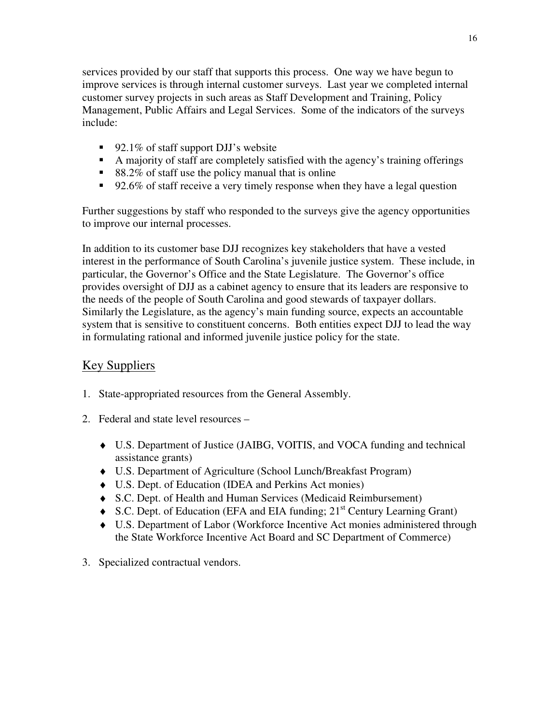services provided by our staff that supports this process. One way we have begun to improve services is through internal customer surveys. Last year we completed internal customer survey projects in such areas as Staff Development and Training, Policy Management, Public Affairs and Legal Services. Some of the indicators of the surveys include:

- 92.1% of staff support DJJ's website
- A majority of staff are completely satisfied with the agency's training offerings
- 88.2% of staff use the policy manual that is online
- 92.6% of staff receive a very timely response when they have a legal question

Further suggestions by staff who responded to the surveys give the agency opportunities to improve our internal processes.

In addition to its customer base DJJ recognizes key stakeholders that have a vested interest in the performance of South Carolina's juvenile justice system. These include, in particular, the Governor's Office and the State Legislature. The Governor's office provides oversight of DJJ as a cabinet agency to ensure that its leaders are responsive to the needs of the people of South Carolina and good stewards of taxpayer dollars. Similarly the Legislature, as the agency's main funding source, expects an accountable system that is sensitive to constituent concerns. Both entities expect DJJ to lead the way in formulating rational and informed juvenile justice policy for the state.

## Key Suppliers

- 1. State-appropriated resources from the General Assembly.
- 2. Federal and state level resources
	- ♦ U.S. Department of Justice (JAIBG, VOITIS, and VOCA funding and technical assistance grants)
	- ♦ U.S. Department of Agriculture (School Lunch/Breakfast Program)
	- ♦ U.S. Dept. of Education (IDEA and Perkins Act monies)
	- ♦ S.C. Dept. of Health and Human Services (Medicaid Reimbursement)
	- $\bullet$  S.C. Dept. of Education (EFA and EIA funding; 21<sup>st</sup> Century Learning Grant)
	- ♦ U.S. Department of Labor (Workforce Incentive Act monies administered through the State Workforce Incentive Act Board and SC Department of Commerce)
- 3. Specialized contractual vendors.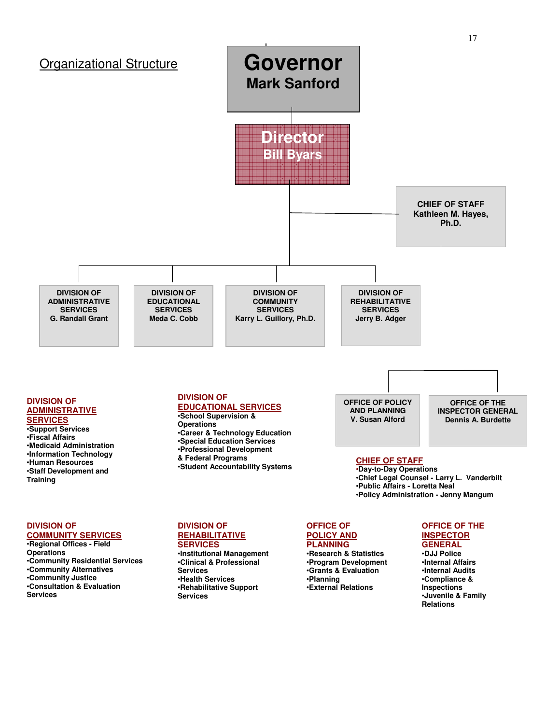

#### **DIVISION OF COMMUNITY SERVICES**

•**Regional Offices - Field Operations**  •**Community Residential Services**  •**Community Alternatives**  •**Community Justice**  •**Consultation & Evaluation Services** 

## **DIVISION OF REHABILITATIVE**

**SERVICES** •**Institutional Management**  •**Clinical & Professional Services**  •**Health Services**  •**Rehabilitative Support Services**

#### **OFFICE OF POLICY AND PLANNING**

•**Research & Statistics**  •**Program Development**  •**Grants & Evaluation**  •**Planning**  •**External Relations** 

#### **OFFICE OF THE INSPECTOR GENERAL**

•**DJJ Police**  •**Internal Affairs**  •**Internal Audits**  •**Compliance & Inspections**  •**Juvenile & Family Relations**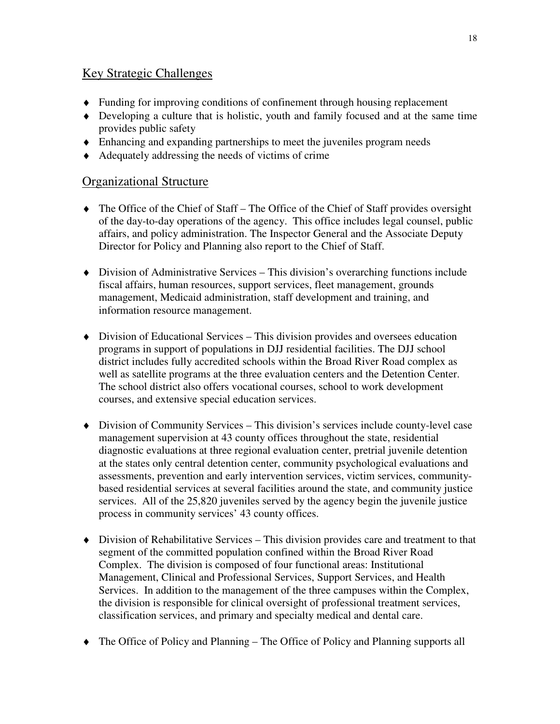## Key Strategic Challenges

- ♦ Funding for improving conditions of confinement through housing replacement
- ♦ Developing a culture that is holistic, youth and family focused and at the same time provides public safety
- ♦ Enhancing and expanding partnerships to meet the juveniles program needs
- ♦ Adequately addressing the needs of victims of crime

## Organizational Structure

- ♦ The Office of the Chief of Staff The Office of the Chief of Staff provides oversight of the day-to-day operations of the agency. This office includes legal counsel, public affairs, and policy administration. The Inspector General and the Associate Deputy Director for Policy and Planning also report to the Chief of Staff.
- ♦ Division of Administrative Services This division's overarching functions include fiscal affairs, human resources, support services, fleet management, grounds management, Medicaid administration, staff development and training, and information resource management.
- ♦ Division of Educational Services This division provides and oversees education programs in support of populations in DJJ residential facilities. The DJJ school district includes fully accredited schools within the Broad River Road complex as well as satellite programs at the three evaluation centers and the Detention Center. The school district also offers vocational courses, school to work development courses, and extensive special education services.
- ♦ Division of Community Services This division's services include county-level case management supervision at 43 county offices throughout the state, residential diagnostic evaluations at three regional evaluation center, pretrial juvenile detention at the states only central detention center, community psychological evaluations and assessments, prevention and early intervention services, victim services, communitybased residential services at several facilities around the state, and community justice services. All of the 25,820 juveniles served by the agency begin the juvenile justice process in community services' 43 county offices.
- ♦ Division of Rehabilitative Services This division provides care and treatment to that segment of the committed population confined within the Broad River Road Complex. The division is composed of four functional areas: Institutional Management, Clinical and Professional Services, Support Services, and Health Services. In addition to the management of the three campuses within the Complex, the division is responsible for clinical oversight of professional treatment services, classification services, and primary and specialty medical and dental care.
- ♦ The Office of Policy and Planning The Office of Policy and Planning supports all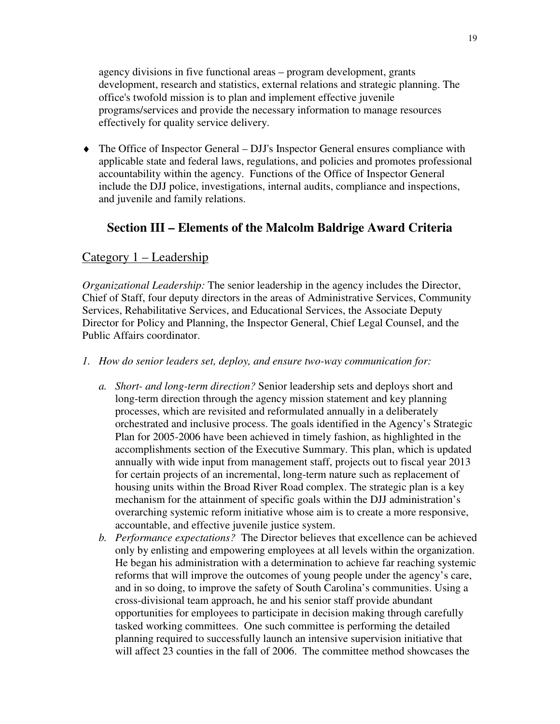agency divisions in five functional areas – program development, grants development, research and statistics, external relations and strategic planning. The office's twofold mission is to plan and implement effective juvenile programs/services and provide the necessary information to manage resources effectively for quality service delivery.

♦ The Office of Inspector General – DJJ's Inspector General ensures compliance with applicable state and federal laws, regulations, and policies and promotes professional accountability within the agency. Functions of the Office of Inspector General include the DJJ police, investigations, internal audits, compliance and inspections, and juvenile and family relations.

## **Section III – Elements of the Malcolm Baldrige Award Criteria**

### Category 1 – Leadership

*Organizational Leadership:* The senior leadership in the agency includes the Director, Chief of Staff, four deputy directors in the areas of Administrative Services, Community Services, Rehabilitative Services, and Educational Services, the Associate Deputy Director for Policy and Planning, the Inspector General, Chief Legal Counsel, and the Public Affairs coordinator.

- *1. How do senior leaders set, deploy, and ensure two-way communication for:* 
	- *a. Short- and long-term direction?* Senior leadership sets and deploys short and long-term direction through the agency mission statement and key planning processes, which are revisited and reformulated annually in a deliberately orchestrated and inclusive process. The goals identified in the Agency's Strategic Plan for 2005-2006 have been achieved in timely fashion, as highlighted in the accomplishments section of the Executive Summary. This plan, which is updated annually with wide input from management staff, projects out to fiscal year 2013 for certain projects of an incremental, long-term nature such as replacement of housing units within the Broad River Road complex. The strategic plan is a key mechanism for the attainment of specific goals within the DJJ administration's overarching systemic reform initiative whose aim is to create a more responsive, accountable, and effective juvenile justice system.
	- *b. Performance expectations?* The Director believes that excellence can be achieved only by enlisting and empowering employees at all levels within the organization. He began his administration with a determination to achieve far reaching systemic reforms that will improve the outcomes of young people under the agency's care, and in so doing, to improve the safety of South Carolina's communities. Using a cross-divisional team approach, he and his senior staff provide abundant opportunities for employees to participate in decision making through carefully tasked working committees. One such committee is performing the detailed planning required to successfully launch an intensive supervision initiative that will affect 23 counties in the fall of 2006. The committee method showcases the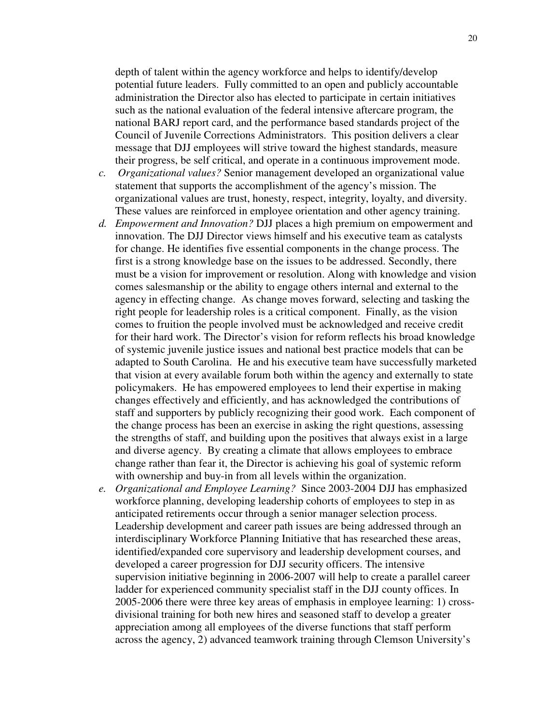depth of talent within the agency workforce and helps to identify/develop potential future leaders. Fully committed to an open and publicly accountable administration the Director also has elected to participate in certain initiatives such as the national evaluation of the federal intensive aftercare program, the national BARJ report card, and the performance based standards project of the Council of Juvenile Corrections Administrators. This position delivers a clear message that DJJ employees will strive toward the highest standards, measure their progress, be self critical, and operate in a continuous improvement mode.

- *c. Organizational values?* Senior management developed an organizational value statement that supports the accomplishment of the agency's mission. The organizational values are trust, honesty, respect, integrity, loyalty, and diversity. These values are reinforced in employee orientation and other agency training.
- *d. Empowerment and Innovation?* DJJ places a high premium on empowerment and innovation. The DJJ Director views himself and his executive team as catalysts for change. He identifies five essential components in the change process. The first is a strong knowledge base on the issues to be addressed. Secondly, there must be a vision for improvement or resolution. Along with knowledge and vision comes salesmanship or the ability to engage others internal and external to the agency in effecting change. As change moves forward, selecting and tasking the right people for leadership roles is a critical component. Finally, as the vision comes to fruition the people involved must be acknowledged and receive credit for their hard work. The Director's vision for reform reflects his broad knowledge of systemic juvenile justice issues and national best practice models that can be adapted to South Carolina. He and his executive team have successfully marketed that vision at every available forum both within the agency and externally to state policymakers. He has empowered employees to lend their expertise in making changes effectively and efficiently, and has acknowledged the contributions of staff and supporters by publicly recognizing their good work. Each component of the change process has been an exercise in asking the right questions, assessing the strengths of staff, and building upon the positives that always exist in a large and diverse agency. By creating a climate that allows employees to embrace change rather than fear it, the Director is achieving his goal of systemic reform with ownership and buy-in from all levels within the organization.
- *e. Organizational and Employee Learning?* Since 2003-2004 DJJ has emphasized workforce planning, developing leadership cohorts of employees to step in as anticipated retirements occur through a senior manager selection process. Leadership development and career path issues are being addressed through an interdisciplinary Workforce Planning Initiative that has researched these areas, identified/expanded core supervisory and leadership development courses, and developed a career progression for DJJ security officers. The intensive supervision initiative beginning in 2006-2007 will help to create a parallel career ladder for experienced community specialist staff in the DJJ county offices. In 2005-2006 there were three key areas of emphasis in employee learning: 1) crossdivisional training for both new hires and seasoned staff to develop a greater appreciation among all employees of the diverse functions that staff perform across the agency, 2) advanced teamwork training through Clemson University's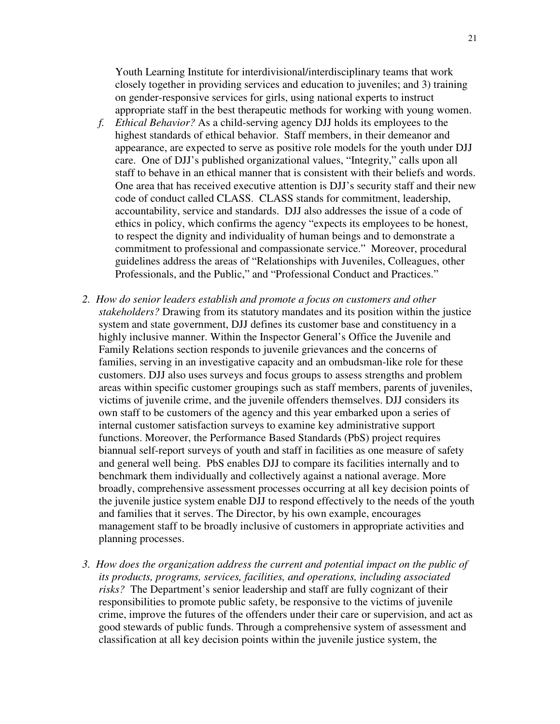Youth Learning Institute for interdivisional/interdisciplinary teams that work closely together in providing services and education to juveniles; and 3) training on gender-responsive services for girls, using national experts to instruct appropriate staff in the best therapeutic methods for working with young women.

- *f. Ethical Behavior?* As a child-serving agency DJJ holds its employees to the highest standards of ethical behavior. Staff members, in their demeanor and appearance, are expected to serve as positive role models for the youth under DJJ care. One of DJJ's published organizational values, "Integrity," calls upon all staff to behave in an ethical manner that is consistent with their beliefs and words. One area that has received executive attention is DJJ's security staff and their new code of conduct called CLASS. CLASS stands for commitment, leadership, accountability, service and standards. DJJ also addresses the issue of a code of ethics in policy, which confirms the agency "expects its employees to be honest, to respect the dignity and individuality of human beings and to demonstrate a commitment to professional and compassionate service." Moreover, procedural guidelines address the areas of "Relationships with Juveniles, Colleagues, other Professionals, and the Public," and "Professional Conduct and Practices."
- *2. How do senior leaders establish and promote a focus on customers and other stakeholders?* Drawing from its statutory mandates and its position within the justice system and state government, DJJ defines its customer base and constituency in a highly inclusive manner. Within the Inspector General's Office the Juvenile and Family Relations section responds to juvenile grievances and the concerns of families, serving in an investigative capacity and an ombudsman-like role for these customers. DJJ also uses surveys and focus groups to assess strengths and problem areas within specific customer groupings such as staff members, parents of juveniles, victims of juvenile crime, and the juvenile offenders themselves. DJJ considers its own staff to be customers of the agency and this year embarked upon a series of internal customer satisfaction surveys to examine key administrative support functions. Moreover, the Performance Based Standards (PbS) project requires biannual self-report surveys of youth and staff in facilities as one measure of safety and general well being. PbS enables DJJ to compare its facilities internally and to benchmark them individually and collectively against a national average. More broadly, comprehensive assessment processes occurring at all key decision points of the juvenile justice system enable DJJ to respond effectively to the needs of the youth and families that it serves. The Director, by his own example, encourages management staff to be broadly inclusive of customers in appropriate activities and planning processes.
- *3. How does the organization address the current and potential impact on the public of its products, programs, services, facilities, and operations, including associated risks?* The Department's senior leadership and staff are fully cognizant of their responsibilities to promote public safety, be responsive to the victims of juvenile crime, improve the futures of the offenders under their care or supervision, and act as good stewards of public funds. Through a comprehensive system of assessment and classification at all key decision points within the juvenile justice system, the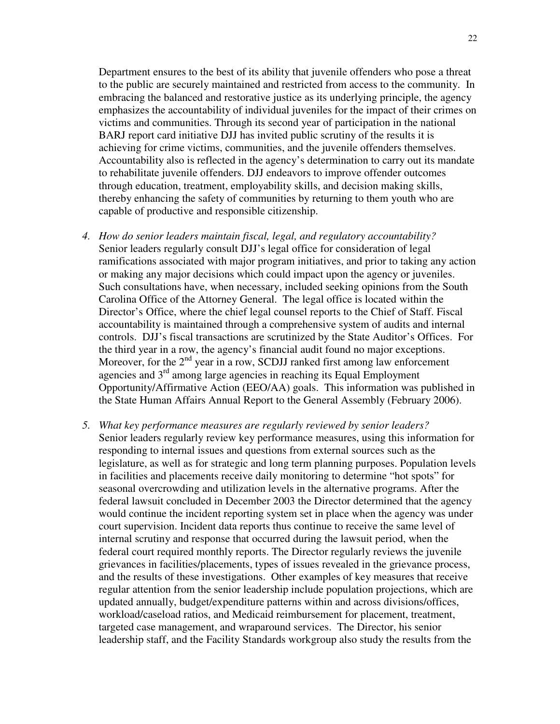Department ensures to the best of its ability that juvenile offenders who pose a threat to the public are securely maintained and restricted from access to the community. In embracing the balanced and restorative justice as its underlying principle, the agency emphasizes the accountability of individual juveniles for the impact of their crimes on victims and communities. Through its second year of participation in the national BARJ report card initiative DJJ has invited public scrutiny of the results it is achieving for crime victims, communities, and the juvenile offenders themselves. Accountability also is reflected in the agency's determination to carry out its mandate to rehabilitate juvenile offenders. DJJ endeavors to improve offender outcomes through education, treatment, employability skills, and decision making skills, thereby enhancing the safety of communities by returning to them youth who are capable of productive and responsible citizenship.

- *4. How do senior leaders maintain fiscal, legal, and regulatory accountability?*  Senior leaders regularly consult DJJ's legal office for consideration of legal ramifications associated with major program initiatives, and prior to taking any action or making any major decisions which could impact upon the agency or juveniles. Such consultations have, when necessary, included seeking opinions from the South Carolina Office of the Attorney General. The legal office is located within the Director's Office, where the chief legal counsel reports to the Chief of Staff. Fiscal accountability is maintained through a comprehensive system of audits and internal controls. DJJ's fiscal transactions are scrutinized by the State Auditor's Offices. For the third year in a row, the agency's financial audit found no major exceptions. Moreover, for the  $2<sup>nd</sup>$  year in a row, SCDJJ ranked first among law enforcement agencies and  $3<sup>rd</sup>$  among large agencies in reaching its Equal Employment Opportunity/Affirmative Action (EEO/AA) goals. This information was published in the State Human Affairs Annual Report to the General Assembly (February 2006).
- *5. What key performance measures are regularly reviewed by senior leaders?* Senior leaders regularly review key performance measures, using this information for responding to internal issues and questions from external sources such as the legislature, as well as for strategic and long term planning purposes. Population levels in facilities and placements receive daily monitoring to determine "hot spots" for seasonal overcrowding and utilization levels in the alternative programs. After the federal lawsuit concluded in December 2003 the Director determined that the agency would continue the incident reporting system set in place when the agency was under court supervision. Incident data reports thus continue to receive the same level of internal scrutiny and response that occurred during the lawsuit period, when the federal court required monthly reports. The Director regularly reviews the juvenile grievances in facilities/placements, types of issues revealed in the grievance process, and the results of these investigations. Other examples of key measures that receive regular attention from the senior leadership include population projections, which are updated annually, budget/expenditure patterns within and across divisions/offices, workload/caseload ratios, and Medicaid reimbursement for placement, treatment, targeted case management, and wraparound services. The Director, his senior leadership staff, and the Facility Standards workgroup also study the results from the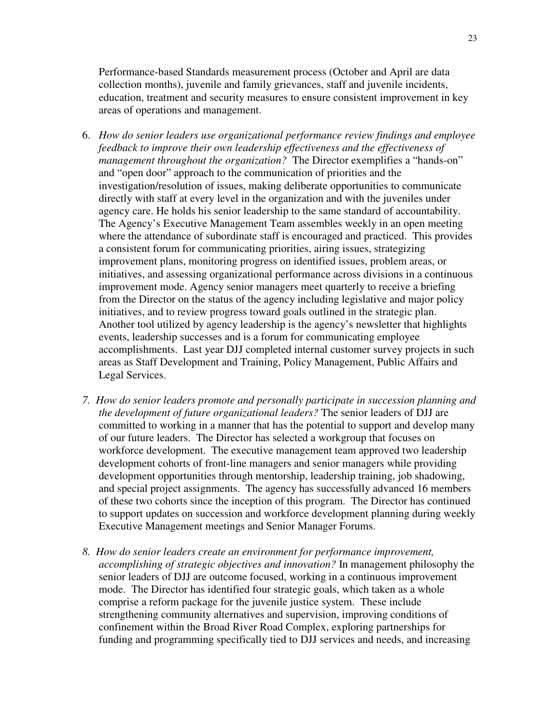Performance-based Standards measurement process (October and April are data collection months), juvenile and family grievances, staff and juvenile incidents, education, treatment and security measures to ensure consistent improvement in key areas of operations and management.

- 6. *How do senior leaders use organizational performance review findings and employee feedback to improve their own leadership effectiveness and the effectiveness of management throughout the organization?* The Director exemplifies a "hands-on" and "open door" approach to the communication of priorities and the investigation/resolution of issues, making deliberate opportunities to communicate directly with staff at every level in the organization and with the juveniles under agency care. He holds his senior leadership to the same standard of accountability. The Agency's Executive Management Team assembles weekly in an open meeting where the attendance of subordinate staff is encouraged and practiced. This provides a consistent forum for communicating priorities, airing issues, strategizing improvement plans, monitoring progress on identified issues, problem areas, or initiatives, and assessing organizational performance across divisions in a continuous improvement mode. Agency senior managers meet quarterly to receive a briefing from the Director on the status of the agency including legislative and major policy initiatives, and to review progress toward goals outlined in the strategic plan. Another tool utilized by agency leadership is the agency's newsletter that highlights events, leadership successes and is a forum for communicating employee accomplishments. Last year DJJ completed internal customer survey projects in such areas as Staff Development and Training, Policy Management, Public Affairs and Legal Services.
- *7. How do senior leaders promote and personally participate in succession planning and the development of future organizational leaders?* The senior leaders of DJJ are committed to working in a manner that has the potential to support and develop many of our future leaders. The Director has selected a workgroup that focuses on workforce development. The executive management team approved two leadership development cohorts of front-line managers and senior managers while providing development opportunities through mentorship, leadership training, job shadowing, and special project assignments. The agency has successfully advanced 16 members of these two cohorts since the inception of this program. The Director has continued to support updates on succession and workforce development planning during weekly Executive Management meetings and Senior Manager Forums.
- *8. How do senior leaders create an environment for performance improvement, accomplishing of strategic objectives and innovation?* In management philosophy the senior leaders of DJJ are outcome focused, working in a continuous improvement mode. The Director has identified four strategic goals, which taken as a whole comprise a reform package for the juvenile justice system. These include strengthening community alternatives and supervision, improving conditions of confinement within the Broad River Road Complex, exploring partnerships for funding and programming specifically tied to DJJ services and needs, and increasing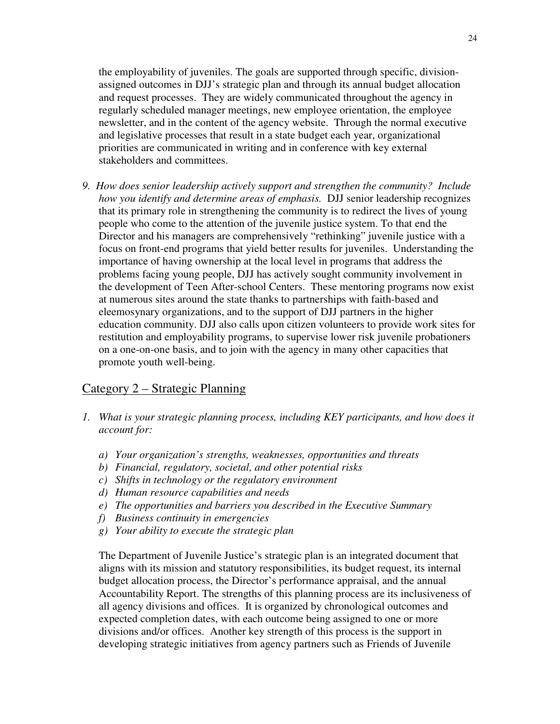the employability of juveniles. The goals are supported through specific, divisionassigned outcomes in DJJ's strategic plan and through its annual budget allocation and request processes. They are widely communicated throughout the agency in regularly scheduled manager meetings, new employee orientation, the employee newsletter, and in the content of the agency website. Through the normal executive and legislative processes that result in a state budget each year, organizational priorities are communicated in writing and in conference with key external stakeholders and committees.

*9. How does senior leadership actively support and strengthen the community? Include how you identify and determine areas of emphasis.* DJJ senior leadership recognizes that its primary role in strengthening the community is to redirect the lives of young people who come to the attention of the juvenile justice system. To that end the Director and his managers are comprehensively "rethinking" juvenile justice with a focus on front-end programs that yield better results for juveniles. Understanding the importance of having ownership at the local level in programs that address the problems facing young people, DJJ has actively sought community involvement in the development of Teen After-school Centers. These mentoring programs now exist at numerous sites around the state thanks to partnerships with faith-based and eleemosynary organizations, and to the support of DJJ partners in the higher education community. DJJ also calls upon citizen volunteers to provide work sites for restitution and employability programs, to supervise lower risk juvenile probationers on a one-on-one basis, and to join with the agency in many other capacities that promote youth well-being.

## Category 2 – Strategic Planning

- *1. What is your strategic planning process, including KEY participants, and how does it account for:* 
	- *a) Your organization's strengths, weaknesses, opportunities and threats*
	- *b) Financial, regulatory, societal, and other potential risks*
	- *c) Shifts in technology or the regulatory environment*
	- *d) Human resource capabilities and needs*
	- *e) The opportunities and barriers you described in the Executive Summary*
	- *f) Business continuity in emergencies*
	- *g) Your ability to execute the strategic plan*

The Department of Juvenile Justice's strategic plan is an integrated document that aligns with its mission and statutory responsibilities, its budget request, its internal budget allocation process, the Director's performance appraisal, and the annual Accountability Report. The strengths of this planning process are its inclusiveness of all agency divisions and offices. It is organized by chronological outcomes and expected completion dates, with each outcome being assigned to one or more divisions and/or offices. Another key strength of this process is the support in developing strategic initiatives from agency partners such as Friends of Juvenile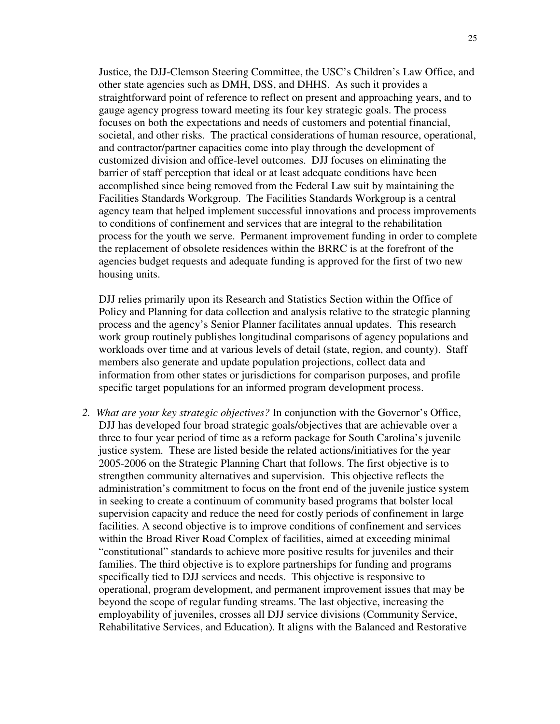Justice, the DJJ-Clemson Steering Committee, the USC's Children's Law Office, and other state agencies such as DMH, DSS, and DHHS. As such it provides a straightforward point of reference to reflect on present and approaching years, and to gauge agency progress toward meeting its four key strategic goals. The process focuses on both the expectations and needs of customers and potential financial, societal, and other risks. The practical considerations of human resource, operational, and contractor/partner capacities come into play through the development of customized division and office-level outcomes. DJJ focuses on eliminating the barrier of staff perception that ideal or at least adequate conditions have been accomplished since being removed from the Federal Law suit by maintaining the Facilities Standards Workgroup. The Facilities Standards Workgroup is a central agency team that helped implement successful innovations and process improvements to conditions of confinement and services that are integral to the rehabilitation process for the youth we serve. Permanent improvement funding in order to complete the replacement of obsolete residences within the BRRC is at the forefront of the agencies budget requests and adequate funding is approved for the first of two new housing units.

DJJ relies primarily upon its Research and Statistics Section within the Office of Policy and Planning for data collection and analysis relative to the strategic planning process and the agency's Senior Planner facilitates annual updates. This research work group routinely publishes longitudinal comparisons of agency populations and workloads over time and at various levels of detail (state, region, and county). Staff members also generate and update population projections, collect data and information from other states or jurisdictions for comparison purposes, and profile specific target populations for an informed program development process.

*2. What are your key strategic objectives?* In conjunction with the Governor's Office, DJJ has developed four broad strategic goals/objectives that are achievable over a three to four year period of time as a reform package for South Carolina's juvenile justice system. These are listed beside the related actions/initiatives for the year 2005-2006 on the Strategic Planning Chart that follows. The first objective is to strengthen community alternatives and supervision. This objective reflects the administration's commitment to focus on the front end of the juvenile justice system in seeking to create a continuum of community based programs that bolster local supervision capacity and reduce the need for costly periods of confinement in large facilities. A second objective is to improve conditions of confinement and services within the Broad River Road Complex of facilities, aimed at exceeding minimal "constitutional" standards to achieve more positive results for juveniles and their families. The third objective is to explore partnerships for funding and programs specifically tied to DJJ services and needs. This objective is responsive to operational, program development, and permanent improvement issues that may be beyond the scope of regular funding streams. The last objective, increasing the employability of juveniles, crosses all DJJ service divisions (Community Service, Rehabilitative Services, and Education). It aligns with the Balanced and Restorative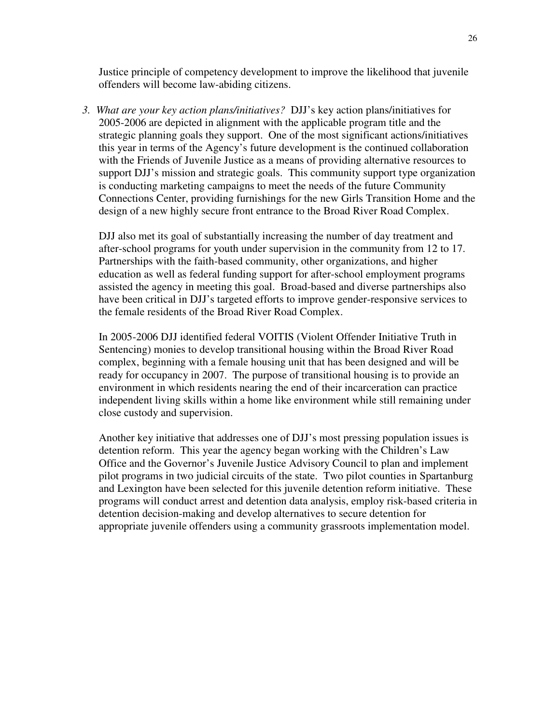Justice principle of competency development to improve the likelihood that juvenile offenders will become law-abiding citizens.

*3. What are your key action plans/initiatives?* DJJ's key action plans/initiatives for 2005-2006 are depicted in alignment with the applicable program title and the strategic planning goals they support. One of the most significant actions/initiatives this year in terms of the Agency's future development is the continued collaboration with the Friends of Juvenile Justice as a means of providing alternative resources to support DJJ's mission and strategic goals. This community support type organization is conducting marketing campaigns to meet the needs of the future Community Connections Center, providing furnishings for the new Girls Transition Home and the design of a new highly secure front entrance to the Broad River Road Complex.

DJJ also met its goal of substantially increasing the number of day treatment and after-school programs for youth under supervision in the community from 12 to 17. Partnerships with the faith-based community, other organizations, and higher education as well as federal funding support for after-school employment programs assisted the agency in meeting this goal. Broad-based and diverse partnerships also have been critical in DJJ's targeted efforts to improve gender-responsive services to the female residents of the Broad River Road Complex.

In 2005-2006 DJJ identified federal VOITIS (Violent Offender Initiative Truth in Sentencing) monies to develop transitional housing within the Broad River Road complex, beginning with a female housing unit that has been designed and will be ready for occupancy in 2007. The purpose of transitional housing is to provide an environment in which residents nearing the end of their incarceration can practice independent living skills within a home like environment while still remaining under close custody and supervision.

Another key initiative that addresses one of DJJ's most pressing population issues is detention reform. This year the agency began working with the Children's Law Office and the Governor's Juvenile Justice Advisory Council to plan and implement pilot programs in two judicial circuits of the state. Two pilot counties in Spartanburg and Lexington have been selected for this juvenile detention reform initiative. These programs will conduct arrest and detention data analysis, employ risk-based criteria in detention decision-making and develop alternatives to secure detention for appropriate juvenile offenders using a community grassroots implementation model.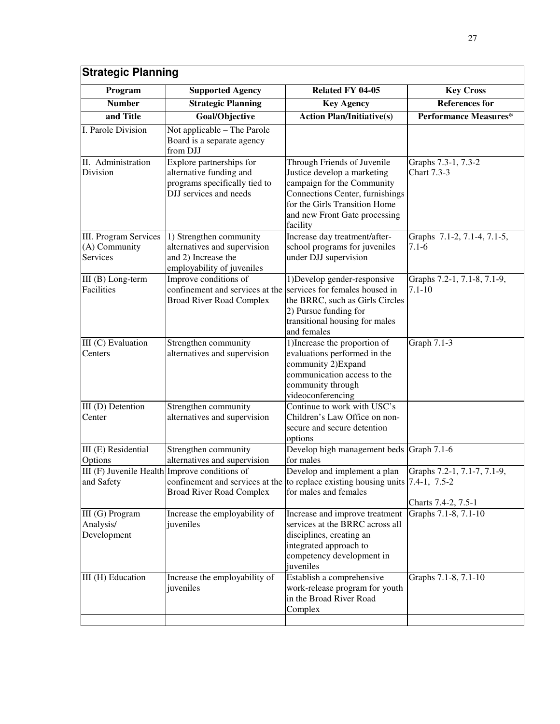| <b>Strategic Planning</b>                                        |                                                                                                                            |                                                                                                                                                                                                           |                                                    |
|------------------------------------------------------------------|----------------------------------------------------------------------------------------------------------------------------|-----------------------------------------------------------------------------------------------------------------------------------------------------------------------------------------------------------|----------------------------------------------------|
| Program                                                          | <b>Supported Agency</b>                                                                                                    | Related FY 04-05                                                                                                                                                                                          | <b>Key Cross</b>                                   |
| <b>Number</b>                                                    | <b>Strategic Planning</b>                                                                                                  | <b>Key Agency</b>                                                                                                                                                                                         | <b>References for</b>                              |
| and Title                                                        | Goal/Objective                                                                                                             | <b>Action Plan/Initiative(s)</b>                                                                                                                                                                          | <b>Performance Measures*</b>                       |
| I. Parole Division                                               | Not applicable - The Parole<br>Board is a separate agency<br>from DJJ                                                      |                                                                                                                                                                                                           |                                                    |
| II. Administration<br>Division                                   | Explore partnerships for<br>alternative funding and<br>programs specifically tied to<br>DJJ services and needs             | Through Friends of Juvenile<br>Justice develop a marketing<br>campaign for the Community<br>Connections Center, furnishings<br>for the Girls Transition Home<br>and new Front Gate processing<br>facility | Graphs 7.3-1, 7.3-2<br>Chart 7.3-3                 |
| <b>III. Program Services</b><br>(A) Community<br><b>Services</b> | 1) Strengthen community<br>alternatives and supervision<br>and 2) Increase the<br>employability of juveniles               | Increase day treatment/after-<br>school programs for juveniles<br>under DJJ supervision                                                                                                                   | Graphs 7.1-2, 7.1-4, 7.1-5,<br>$7.1 - 6$           |
| III (B) Long-term<br><b>Facilities</b>                           | Improve conditions of<br>confinement and services at the services for females housed in<br><b>Broad River Road Complex</b> | 1) Develop gender-responsive<br>the BRRC, such as Girls Circles<br>2) Pursue funding for<br>transitional housing for males<br>and females                                                                 | Graphs 7.2-1, 7.1-8, 7.1-9,<br>$7.1 - 10$          |
| III (C) Evaluation<br>Centers                                    | Strengthen community<br>alternatives and supervision                                                                       | 1) Increase the proportion of<br>evaluations performed in the<br>community 2) Expand<br>communication access to the<br>community through<br>videoconferencing                                             | Graph $7.1-3$                                      |
| III (D) Detention<br>Center                                      | Strengthen community<br>alternatives and supervision                                                                       | Continue to work with USC's<br>Children's Law Office on non-<br>secure and secure detention<br>options                                                                                                    |                                                    |
| III (E) Residential<br>Options                                   | Strengthen community<br>alternatives and supervision                                                                       | Develop high management beds Graph 7.1-6<br>for males                                                                                                                                                     |                                                    |
| and Safety                                                       | III (F) Juvenile Health Improve conditions of<br><b>Broad River Road Complex</b>                                           | Develop and implement a plan<br>confinement and services at the to replace existing housing units $(7.4-1, 7.5-2)$<br>for males and females                                                               | Graphs 7.2-1, 7.1-7, 7.1-9,<br>Charts 7.4-2, 7.5-1 |
| III (G) Program<br>Analysis/<br>Development                      | Increase the employability of<br>juveniles                                                                                 | Increase and improve treatment<br>services at the BRRC across all<br>disciplines, creating an<br>integrated approach to<br>competency development in<br>juveniles                                         | Graphs 7.1-8, 7.1-10                               |
| III (H) Education                                                | Increase the employability of<br>juveniles                                                                                 | Establish a comprehensive<br>work-release program for youth<br>in the Broad River Road<br>Complex                                                                                                         | Graphs 7.1-8, 7.1-10                               |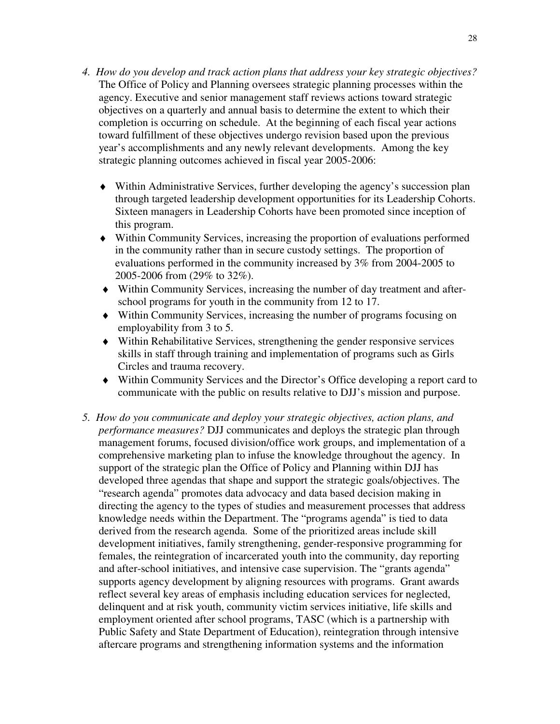- *4. How do you develop and track action plans that address your key strategic objectives?*  The Office of Policy and Planning oversees strategic planning processes within the agency. Executive and senior management staff reviews actions toward strategic objectives on a quarterly and annual basis to determine the extent to which their completion is occurring on schedule. At the beginning of each fiscal year actions toward fulfillment of these objectives undergo revision based upon the previous year's accomplishments and any newly relevant developments. Among the key strategic planning outcomes achieved in fiscal year 2005-2006:
	- ♦ Within Administrative Services, further developing the agency's succession plan through targeted leadership development opportunities for its Leadership Cohorts. Sixteen managers in Leadership Cohorts have been promoted since inception of this program.
	- ♦ Within Community Services, increasing the proportion of evaluations performed in the community rather than in secure custody settings. The proportion of evaluations performed in the community increased by 3% from 2004-2005 to 2005-2006 from (29% to 32%).
	- ♦ Within Community Services, increasing the number of day treatment and afterschool programs for youth in the community from 12 to 17.
	- ♦ Within Community Services, increasing the number of programs focusing on employability from 3 to 5.
	- ♦ Within Rehabilitative Services, strengthening the gender responsive services skills in staff through training and implementation of programs such as Girls Circles and trauma recovery.
	- ♦ Within Community Services and the Director's Office developing a report card to communicate with the public on results relative to DJJ's mission and purpose.
- *5. How do you communicate and deploy your strategic objectives, action plans, and performance measures?* DJJ communicates and deploys the strategic plan through management forums, focused division/office work groups, and implementation of a comprehensive marketing plan to infuse the knowledge throughout the agency. In support of the strategic plan the Office of Policy and Planning within DJJ has developed three agendas that shape and support the strategic goals/objectives. The "research agenda" promotes data advocacy and data based decision making in directing the agency to the types of studies and measurement processes that address knowledge needs within the Department. The "programs agenda" is tied to data derived from the research agenda. Some of the prioritized areas include skill development initiatives, family strengthening, gender-responsive programming for females, the reintegration of incarcerated youth into the community, day reporting and after-school initiatives, and intensive case supervision. The "grants agenda" supports agency development by aligning resources with programs. Grant awards reflect several key areas of emphasis including education services for neglected, delinquent and at risk youth, community victim services initiative, life skills and employment oriented after school programs, TASC (which is a partnership with Public Safety and State Department of Education), reintegration through intensive aftercare programs and strengthening information systems and the information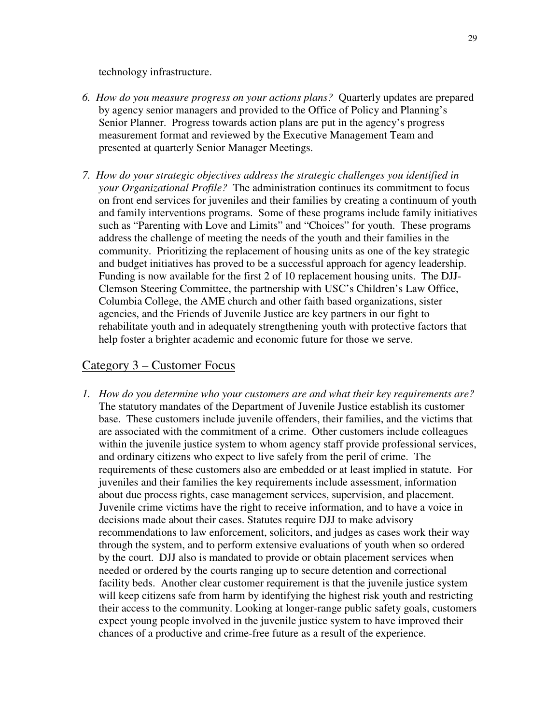technology infrastructure.

- *6. How do you measure progress on your actions plans?* Quarterly updates are prepared by agency senior managers and provided to the Office of Policy and Planning's Senior Planner. Progress towards action plans are put in the agency's progress measurement format and reviewed by the Executive Management Team and presented at quarterly Senior Manager Meetings.
- *7. How do your strategic objectives address the strategic challenges you identified in your Organizational Profile?* The administration continues its commitment to focus on front end services for juveniles and their families by creating a continuum of youth and family interventions programs. Some of these programs include family initiatives such as "Parenting with Love and Limits" and "Choices" for youth. These programs address the challenge of meeting the needs of the youth and their families in the community. Prioritizing the replacement of housing units as one of the key strategic and budget initiatives has proved to be a successful approach for agency leadership. Funding is now available for the first 2 of 10 replacement housing units. The DJJ-Clemson Steering Committee, the partnership with USC's Children's Law Office, Columbia College, the AME church and other faith based organizations, sister agencies, and the Friends of Juvenile Justice are key partners in our fight to rehabilitate youth and in adequately strengthening youth with protective factors that help foster a brighter academic and economic future for those we serve.

## Category 3 – Customer Focus

*1. How do you determine who your customers are and what their key requirements are?*  The statutory mandates of the Department of Juvenile Justice establish its customer base. These customers include juvenile offenders, their families, and the victims that are associated with the commitment of a crime. Other customers include colleagues within the juvenile justice system to whom agency staff provide professional services, and ordinary citizens who expect to live safely from the peril of crime. The requirements of these customers also are embedded or at least implied in statute. For juveniles and their families the key requirements include assessment, information about due process rights, case management services, supervision, and placement. Juvenile crime victims have the right to receive information, and to have a voice in decisions made about their cases. Statutes require DJJ to make advisory recommendations to law enforcement, solicitors, and judges as cases work their way through the system, and to perform extensive evaluations of youth when so ordered by the court. DJJ also is mandated to provide or obtain placement services when needed or ordered by the courts ranging up to secure detention and correctional facility beds. Another clear customer requirement is that the juvenile justice system will keep citizens safe from harm by identifying the highest risk youth and restricting their access to the community. Looking at longer-range public safety goals, customers expect young people involved in the juvenile justice system to have improved their chances of a productive and crime-free future as a result of the experience.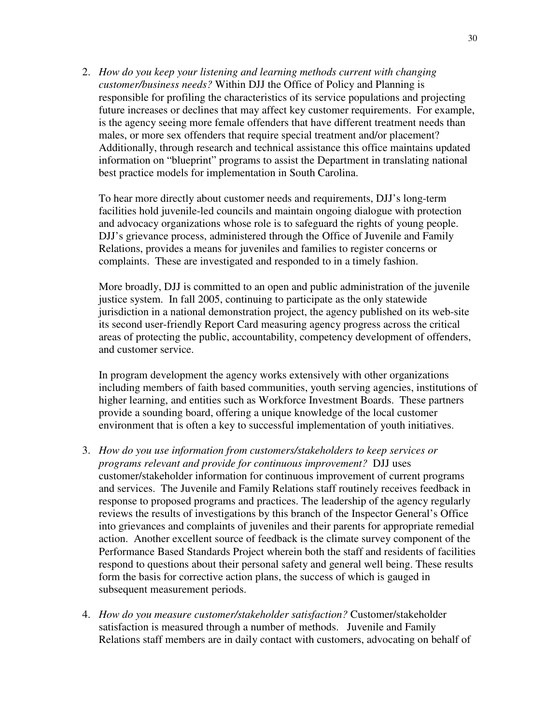2. *How do you keep your listening and learning methods current with changing customer/business needs?* Within DJJ the Office of Policy and Planning is responsible for profiling the characteristics of its service populations and projecting future increases or declines that may affect key customer requirements. For example, is the agency seeing more female offenders that have different treatment needs than males, or more sex offenders that require special treatment and/or placement? Additionally, through research and technical assistance this office maintains updated information on "blueprint" programs to assist the Department in translating national best practice models for implementation in South Carolina.

To hear more directly about customer needs and requirements, DJJ's long-term facilities hold juvenile-led councils and maintain ongoing dialogue with protection and advocacy organizations whose role is to safeguard the rights of young people. DJJ's grievance process, administered through the Office of Juvenile and Family Relations, provides a means for juveniles and families to register concerns or complaints. These are investigated and responded to in a timely fashion.

More broadly, DJJ is committed to an open and public administration of the juvenile justice system. In fall 2005, continuing to participate as the only statewide jurisdiction in a national demonstration project, the agency published on its web-site its second user-friendly Report Card measuring agency progress across the critical areas of protecting the public, accountability, competency development of offenders, and customer service.

In program development the agency works extensively with other organizations including members of faith based communities, youth serving agencies, institutions of higher learning, and entities such as Workforce Investment Boards. These partners provide a sounding board, offering a unique knowledge of the local customer environment that is often a key to successful implementation of youth initiatives.

- 3. *How do you use information from customers/stakeholders to keep services or programs relevant and provide for continuous improvement?* DJJ uses customer/stakeholder information for continuous improvement of current programs and services. The Juvenile and Family Relations staff routinely receives feedback in response to proposed programs and practices. The leadership of the agency regularly reviews the results of investigations by this branch of the Inspector General's Office into grievances and complaints of juveniles and their parents for appropriate remedial action. Another excellent source of feedback is the climate survey component of the Performance Based Standards Project wherein both the staff and residents of facilities respond to questions about their personal safety and general well being. These results form the basis for corrective action plans, the success of which is gauged in subsequent measurement periods.
- 4. *How do you measure customer/stakeholder satisfaction?* Customer/stakeholder satisfaction is measured through a number of methods. Juvenile and Family Relations staff members are in daily contact with customers, advocating on behalf of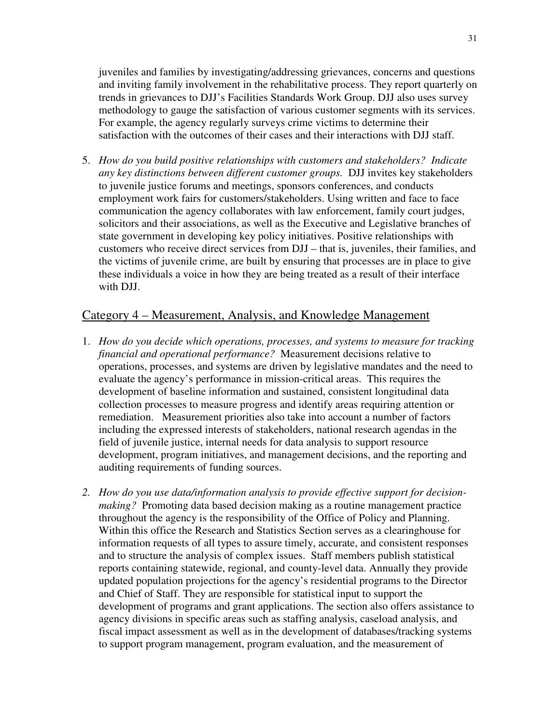juveniles and families by investigating/addressing grievances, concerns and questions and inviting family involvement in the rehabilitative process. They report quarterly on trends in grievances to DJJ's Facilities Standards Work Group. DJJ also uses survey methodology to gauge the satisfaction of various customer segments with its services. For example, the agency regularly surveys crime victims to determine their satisfaction with the outcomes of their cases and their interactions with DJJ staff.

5. *How do you build positive relationships with customers and stakeholders? Indicate any key distinctions between different customer groups.* DJJ invites key stakeholders to juvenile justice forums and meetings, sponsors conferences, and conducts employment work fairs for customers/stakeholders. Using written and face to face communication the agency collaborates with law enforcement, family court judges, solicitors and their associations, as well as the Executive and Legislative branches of state government in developing key policy initiatives. Positive relationships with customers who receive direct services from DJJ – that is, juveniles, their families, and the victims of juvenile crime, are built by ensuring that processes are in place to give these individuals a voice in how they are being treated as a result of their interface with DJJ.

## Category 4 – Measurement, Analysis, and Knowledge Management

- 1. *How do you decide which operations, processes, and systems to measure for tracking financial and operational performance?* Measurement decisions relative to operations, processes, and systems are driven by legislative mandates and the need to evaluate the agency's performance in mission-critical areas. This requires the development of baseline information and sustained, consistent longitudinal data collection processes to measure progress and identify areas requiring attention or remediation. Measurement priorities also take into account a number of factors including the expressed interests of stakeholders, national research agendas in the field of juvenile justice, internal needs for data analysis to support resource development, program initiatives, and management decisions, and the reporting and auditing requirements of funding sources.
- *2. How do you use data/information analysis to provide effective support for decisionmaking?* Promoting data based decision making as a routine management practice throughout the agency is the responsibility of the Office of Policy and Planning. Within this office the Research and Statistics Section serves as a clearinghouse for information requests of all types to assure timely, accurate, and consistent responses and to structure the analysis of complex issues. Staff members publish statistical reports containing statewide, regional, and county-level data. Annually they provide updated population projections for the agency's residential programs to the Director and Chief of Staff. They are responsible for statistical input to support the development of programs and grant applications. The section also offers assistance to agency divisions in specific areas such as staffing analysis, caseload analysis, and fiscal impact assessment as well as in the development of databases/tracking systems to support program management, program evaluation, and the measurement of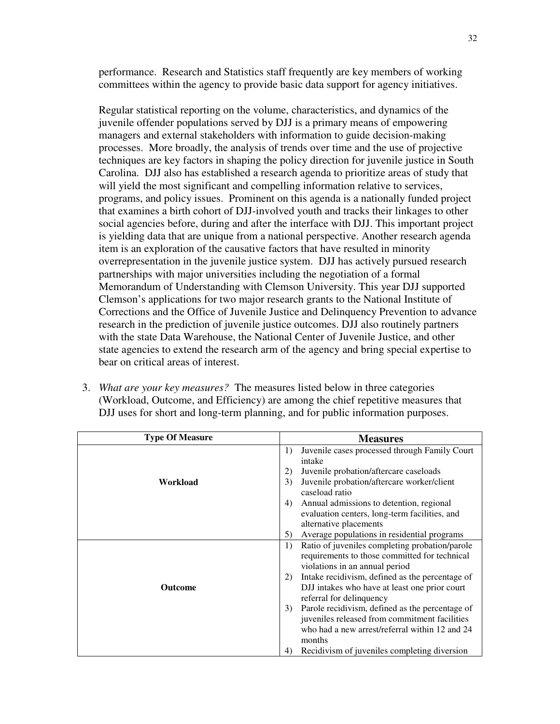performance. Research and Statistics staff frequently are key members of working committees within the agency to provide basic data support for agency initiatives.

Regular statistical reporting on the volume, characteristics, and dynamics of the juvenile offender populations served by DJJ is a primary means of empowering managers and external stakeholders with information to guide decision-making processes. More broadly, the analysis of trends over time and the use of projective techniques are key factors in shaping the policy direction for juvenile justice in South Carolina. DJJ also has established a research agenda to prioritize areas of study that will yield the most significant and compelling information relative to services, programs, and policy issues. Prominent on this agenda is a nationally funded project that examines a birth cohort of DJJ-involved youth and tracks their linkages to other social agencies before, during and after the interface with DJJ. This important project is yielding data that are unique from a national perspective. Another research agenda item is an exploration of the causative factors that have resulted in minority overrepresentation in the juvenile justice system. DJJ has actively pursued research partnerships with major universities including the negotiation of a formal Memorandum of Understanding with Clemson University. This year DJJ supported Clemson's applications for two major research grants to the National Institute of Corrections and the Office of Juvenile Justice and Delinquency Prevention to advance research in the prediction of juvenile justice outcomes. DJJ also routinely partners with the state Data Warehouse, the National Center of Juvenile Justice, and other state agencies to extend the research arm of the agency and bring special expertise to bear on critical areas of interest.

3. *What are your key measures?* The measures listed below in three categories (Workload, Outcome, and Efficiency) are among the chief repetitive measures that DJJ uses for short and long-term planning, and for public information purposes.

| <b>Type Of Measure</b> | <b>Measures</b>                                                                                                                                                                     |
|------------------------|-------------------------------------------------------------------------------------------------------------------------------------------------------------------------------------|
| Workload               | Juvenile cases processed through Family Court<br>1)<br>intake<br>Juvenile probation/aftercare caseloads<br>2)<br>3)<br>Juvenile probation/aftercare worker/client<br>caseload ratio |
|                        | Annual admissions to detention, regional<br>4)<br>evaluation centers, long-term facilities, and<br>alternative placements                                                           |
|                        | Average populations in residential programs<br>5)                                                                                                                                   |
|                        | Ratio of juveniles completing probation/parole<br>1)<br>requirements to those committed for technical<br>violations in an annual period                                             |
| <b>Outcome</b>         | Intake recidivism, defined as the percentage of<br>2)<br>DJJ intakes who have at least one prior court<br>referral for delinquency                                                  |
|                        | Parole recidivism, defined as the percentage of<br>3)<br>juveniles released from commitment facilities<br>who had a new arrest/referral within 12 and 24<br>months                  |
|                        | Recidivism of juveniles completing diversion<br>4)                                                                                                                                  |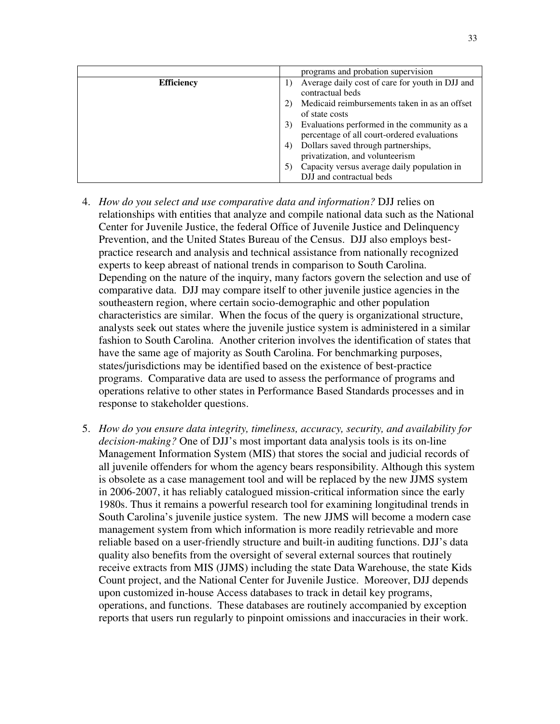|                   | programs and probation supervision                                                                                   |
|-------------------|----------------------------------------------------------------------------------------------------------------------|
| <b>Efficiency</b> | Average daily cost of care for youth in DJJ and<br>contractual beds<br>Medicaid reimbursements taken in as an offset |
|                   | of state costs<br>Evaluations performed in the community as a<br>3)<br>percentage of all court-ordered evaluations   |
|                   | Dollars saved through partnerships,<br>(4)<br>privatization, and volunteerism                                        |
|                   | Capacity versus average daily population in<br>DJJ and contractual beds                                              |

- 4. *How do you select and use comparative data and information?* DJJ relies on relationships with entities that analyze and compile national data such as the National Center for Juvenile Justice, the federal Office of Juvenile Justice and Delinquency Prevention, and the United States Bureau of the Census. DJJ also employs bestpractice research and analysis and technical assistance from nationally recognized experts to keep abreast of national trends in comparison to South Carolina. Depending on the nature of the inquiry, many factors govern the selection and use of comparative data. DJJ may compare itself to other juvenile justice agencies in the southeastern region, where certain socio-demographic and other population characteristics are similar. When the focus of the query is organizational structure, analysts seek out states where the juvenile justice system is administered in a similar fashion to South Carolina. Another criterion involves the identification of states that have the same age of majority as South Carolina. For benchmarking purposes, states/jurisdictions may be identified based on the existence of best-practice programs. Comparative data are used to assess the performance of programs and operations relative to other states in Performance Based Standards processes and in response to stakeholder questions.
- 5. *How do you ensure data integrity, timeliness, accuracy, security, and availability for decision-making?* One of DJJ's most important data analysis tools is its on-line Management Information System (MIS) that stores the social and judicial records of all juvenile offenders for whom the agency bears responsibility. Although this system is obsolete as a case management tool and will be replaced by the new JJMS system in 2006-2007, it has reliably catalogued mission-critical information since the early 1980s. Thus it remains a powerful research tool for examining longitudinal trends in South Carolina's juvenile justice system. The new JJMS will become a modern case management system from which information is more readily retrievable and more reliable based on a user-friendly structure and built-in auditing functions. DJJ's data quality also benefits from the oversight of several external sources that routinely receive extracts from MIS (JJMS) including the state Data Warehouse, the state Kids Count project, and the National Center for Juvenile Justice. Moreover, DJJ depends upon customized in-house Access databases to track in detail key programs, operations, and functions. These databases are routinely accompanied by exception reports that users run regularly to pinpoint omissions and inaccuracies in their work.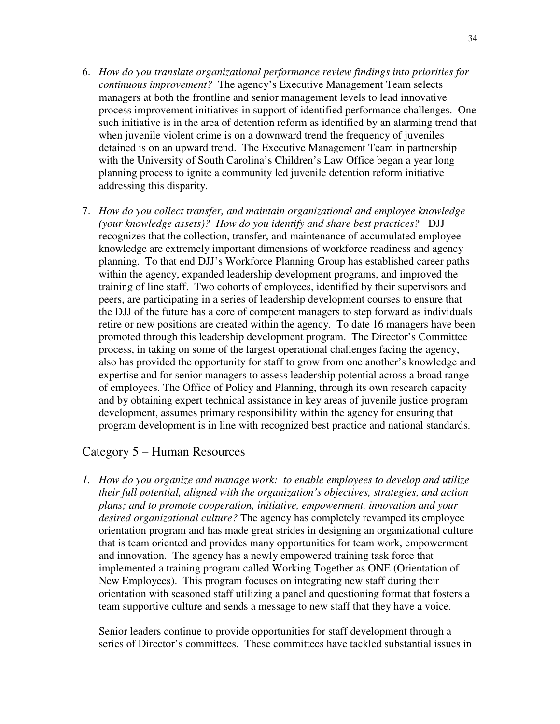- 6. *How do you translate organizational performance review findings into priorities for continuous improvement?* The agency's Executive Management Team selects managers at both the frontline and senior management levels to lead innovative process improvement initiatives in support of identified performance challenges. One such initiative is in the area of detention reform as identified by an alarming trend that when juvenile violent crime is on a downward trend the frequency of juveniles detained is on an upward trend. The Executive Management Team in partnership with the University of South Carolina's Children's Law Office began a year long planning process to ignite a community led juvenile detention reform initiative addressing this disparity.
- 7. *How do you collect transfer, and maintain organizational and employee knowledge (your knowledge assets)? How do you identify and share best practices?* DJJ recognizes that the collection, transfer, and maintenance of accumulated employee knowledge are extremely important dimensions of workforce readiness and agency planning. To that end DJJ's Workforce Planning Group has established career paths within the agency, expanded leadership development programs, and improved the training of line staff. Two cohorts of employees, identified by their supervisors and peers, are participating in a series of leadership development courses to ensure that the DJJ of the future has a core of competent managers to step forward as individuals retire or new positions are created within the agency. To date 16 managers have been promoted through this leadership development program. The Director's Committee process, in taking on some of the largest operational challenges facing the agency, also has provided the opportunity for staff to grow from one another's knowledge and expertise and for senior managers to assess leadership potential across a broad range of employees. The Office of Policy and Planning, through its own research capacity and by obtaining expert technical assistance in key areas of juvenile justice program development, assumes primary responsibility within the agency for ensuring that program development is in line with recognized best practice and national standards.

## Category 5 – Human Resources

*1. How do you organize and manage work: to enable employees to develop and utilize their full potential, aligned with the organization's objectives, strategies, and action plans; and to promote cooperation, initiative, empowerment, innovation and your desired organizational culture?* The agency has completely revamped its employee orientation program and has made great strides in designing an organizational culture that is team oriented and provides many opportunities for team work, empowerment and innovation. The agency has a newly empowered training task force that implemented a training program called Working Together as ONE (Orientation of New Employees). This program focuses on integrating new staff during their orientation with seasoned staff utilizing a panel and questioning format that fosters a team supportive culture and sends a message to new staff that they have a voice.

Senior leaders continue to provide opportunities for staff development through a series of Director's committees. These committees have tackled substantial issues in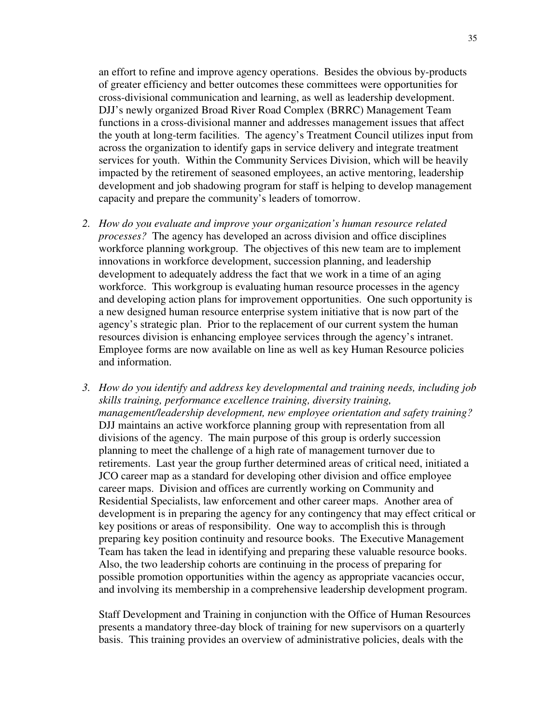an effort to refine and improve agency operations. Besides the obvious by-products of greater efficiency and better outcomes these committees were opportunities for cross-divisional communication and learning, as well as leadership development. DJJ's newly organized Broad River Road Complex (BRRC) Management Team functions in a cross-divisional manner and addresses management issues that affect the youth at long-term facilities. The agency's Treatment Council utilizes input from across the organization to identify gaps in service delivery and integrate treatment services for youth. Within the Community Services Division, which will be heavily impacted by the retirement of seasoned employees, an active mentoring, leadership development and job shadowing program for staff is helping to develop management capacity and prepare the community's leaders of tomorrow.

- *2. How do you evaluate and improve your organization's human resource related processes?* The agency has developed an across division and office disciplines workforce planning workgroup. The objectives of this new team are to implement innovations in workforce development, succession planning, and leadership development to adequately address the fact that we work in a time of an aging workforce. This workgroup is evaluating human resource processes in the agency and developing action plans for improvement opportunities. One such opportunity is a new designed human resource enterprise system initiative that is now part of the agency's strategic plan. Prior to the replacement of our current system the human resources division is enhancing employee services through the agency's intranet. Employee forms are now available on line as well as key Human Resource policies and information.
- *3. How do you identify and address key developmental and training needs, including job skills training, performance excellence training, diversity training, management/leadership development, new employee orientation and safety training?*  DJJ maintains an active workforce planning group with representation from all divisions of the agency. The main purpose of this group is orderly succession planning to meet the challenge of a high rate of management turnover due to retirements. Last year the group further determined areas of critical need, initiated a JCO career map as a standard for developing other division and office employee career maps. Division and offices are currently working on Community and Residential Specialists, law enforcement and other career maps. Another area of development is in preparing the agency for any contingency that may effect critical or key positions or areas of responsibility. One way to accomplish this is through preparing key position continuity and resource books. The Executive Management Team has taken the lead in identifying and preparing these valuable resource books. Also, the two leadership cohorts are continuing in the process of preparing for possible promotion opportunities within the agency as appropriate vacancies occur, and involving its membership in a comprehensive leadership development program.

Staff Development and Training in conjunction with the Office of Human Resources presents a mandatory three-day block of training for new supervisors on a quarterly basis. This training provides an overview of administrative policies, deals with the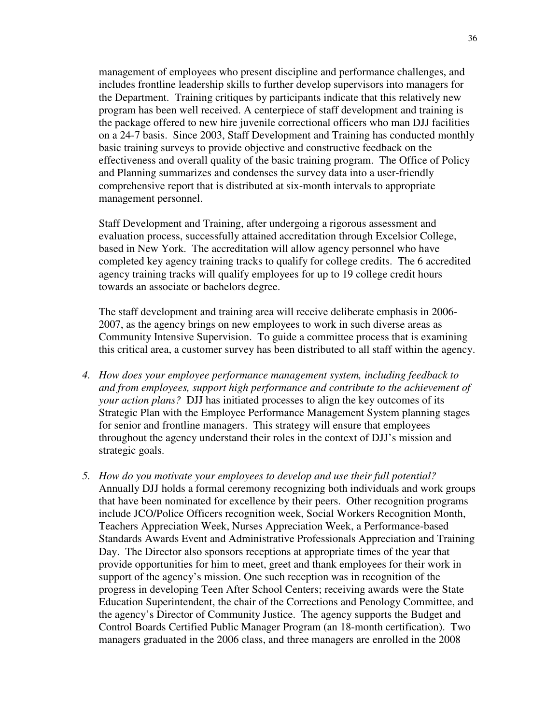management of employees who present discipline and performance challenges, and includes frontline leadership skills to further develop supervisors into managers for the Department. Training critiques by participants indicate that this relatively new program has been well received. A centerpiece of staff development and training is the package offered to new hire juvenile correctional officers who man DJJ facilities on a 24-7 basis. Since 2003, Staff Development and Training has conducted monthly basic training surveys to provide objective and constructive feedback on the effectiveness and overall quality of the basic training program. The Office of Policy and Planning summarizes and condenses the survey data into a user-friendly comprehensive report that is distributed at six-month intervals to appropriate management personnel.

Staff Development and Training, after undergoing a rigorous assessment and evaluation process, successfully attained accreditation through Excelsior College, based in New York. The accreditation will allow agency personnel who have completed key agency training tracks to qualify for college credits. The 6 accredited agency training tracks will qualify employees for up to 19 college credit hours towards an associate or bachelors degree.

The staff development and training area will receive deliberate emphasis in 2006- 2007, as the agency brings on new employees to work in such diverse areas as Community Intensive Supervision. To guide a committee process that is examining this critical area, a customer survey has been distributed to all staff within the agency.

- *4. How does your employee performance management system, including feedback to and from employees, support high performance and contribute to the achievement of your action plans?* DJJ has initiated processes to align the key outcomes of its Strategic Plan with the Employee Performance Management System planning stages for senior and frontline managers. This strategy will ensure that employees throughout the agency understand their roles in the context of DJJ's mission and strategic goals.
- *5. How do you motivate your employees to develop and use their full potential?*  Annually DJJ holds a formal ceremony recognizing both individuals and work groups that have been nominated for excellence by their peers. Other recognition programs include JCO/Police Officers recognition week, Social Workers Recognition Month, Teachers Appreciation Week, Nurses Appreciation Week, a Performance-based Standards Awards Event and Administrative Professionals Appreciation and Training Day. The Director also sponsors receptions at appropriate times of the year that provide opportunities for him to meet, greet and thank employees for their work in support of the agency's mission. One such reception was in recognition of the progress in developing Teen After School Centers; receiving awards were the State Education Superintendent, the chair of the Corrections and Penology Committee, and the agency's Director of Community Justice. The agency supports the Budget and Control Boards Certified Public Manager Program (an 18-month certification). Two managers graduated in the 2006 class, and three managers are enrolled in the 2008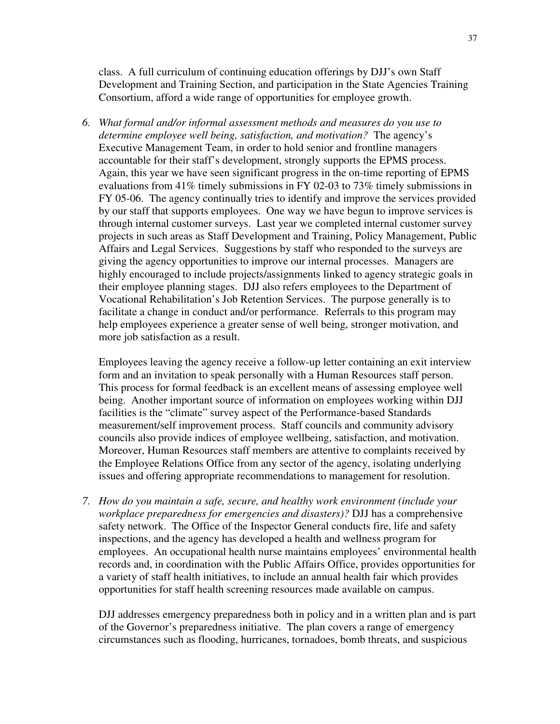class. A full curriculum of continuing education offerings by DJJ's own Staff Development and Training Section, and participation in the State Agencies Training Consortium, afford a wide range of opportunities for employee growth.

*6. What formal and/or informal assessment methods and measures do you use to determine employee well being, satisfaction, and motivation?* The agency's Executive Management Team, in order to hold senior and frontline managers accountable for their staff's development, strongly supports the EPMS process. Again, this year we have seen significant progress in the on-time reporting of EPMS evaluations from 41% timely submissions in FY 02-03 to 73% timely submissions in FY 05-06. The agency continually tries to identify and improve the services provided by our staff that supports employees. One way we have begun to improve services is through internal customer surveys. Last year we completed internal customer survey projects in such areas as Staff Development and Training, Policy Management, Public Affairs and Legal Services. Suggestions by staff who responded to the surveys are giving the agency opportunities to improve our internal processes. Managers are highly encouraged to include projects/assignments linked to agency strategic goals in their employee planning stages. DJJ also refers employees to the Department of Vocational Rehabilitation's Job Retention Services. The purpose generally is to facilitate a change in conduct and/or performance. Referrals to this program may help employees experience a greater sense of well being, stronger motivation, and more job satisfaction as a result.

Employees leaving the agency receive a follow-up letter containing an exit interview form and an invitation to speak personally with a Human Resources staff person. This process for formal feedback is an excellent means of assessing employee well being. Another important source of information on employees working within DJJ facilities is the "climate" survey aspect of the Performance-based Standards measurement/self improvement process. Staff councils and community advisory councils also provide indices of employee wellbeing, satisfaction, and motivation. Moreover, Human Resources staff members are attentive to complaints received by the Employee Relations Office from any sector of the agency, isolating underlying issues and offering appropriate recommendations to management for resolution.

*7. How do you maintain a safe, secure, and healthy work environment (include your workplace preparedness for emergencies and disasters)?* DJJ has a comprehensive safety network. The Office of the Inspector General conducts fire, life and safety inspections, and the agency has developed a health and wellness program for employees. An occupational health nurse maintains employees' environmental health records and, in coordination with the Public Affairs Office, provides opportunities for a variety of staff health initiatives, to include an annual health fair which provides opportunities for staff health screening resources made available on campus.

DJJ addresses emergency preparedness both in policy and in a written plan and is part of the Governor's preparedness initiative. The plan covers a range of emergency circumstances such as flooding, hurricanes, tornadoes, bomb threats, and suspicious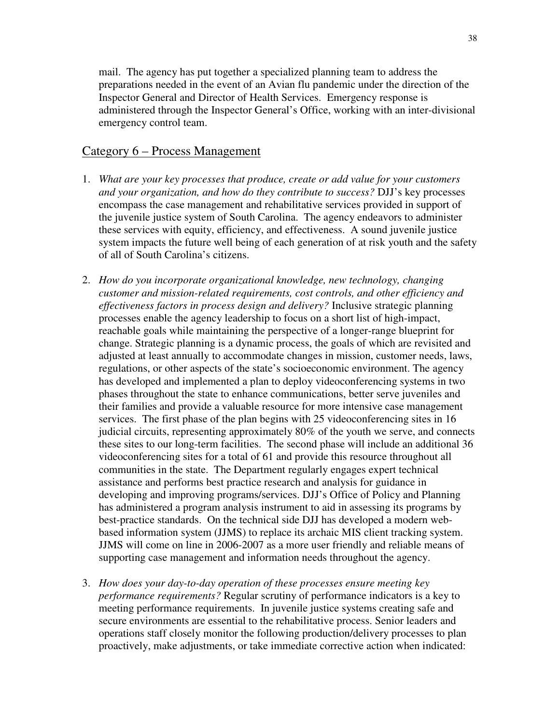mail. The agency has put together a specialized planning team to address the preparations needed in the event of an Avian flu pandemic under the direction of the Inspector General and Director of Health Services. Emergency response is administered through the Inspector General's Office, working with an inter-divisional emergency control team.

## Category 6 – Process Management

- 1. *What are your key processes that produce, create or add value for your customers and your organization, and how do they contribute to success?* DJJ's key processes encompass the case management and rehabilitative services provided in support of the juvenile justice system of South Carolina. The agency endeavors to administer these services with equity, efficiency, and effectiveness. A sound juvenile justice system impacts the future well being of each generation of at risk youth and the safety of all of South Carolina's citizens.
- 2. *How do you incorporate organizational knowledge, new technology, changing customer and mission-related requirements, cost controls, and other efficiency and effectiveness factors in process design and delivery?* Inclusive strategic planning processes enable the agency leadership to focus on a short list of high-impact, reachable goals while maintaining the perspective of a longer-range blueprint for change. Strategic planning is a dynamic process, the goals of which are revisited and adjusted at least annually to accommodate changes in mission, customer needs, laws, regulations, or other aspects of the state's socioeconomic environment. The agency has developed and implemented a plan to deploy videoconferencing systems in two phases throughout the state to enhance communications, better serve juveniles and their families and provide a valuable resource for more intensive case management services. The first phase of the plan begins with 25 videoconferencing sites in 16 judicial circuits, representing approximately 80% of the youth we serve, and connects these sites to our long-term facilities. The second phase will include an additional 36 videoconferencing sites for a total of 61 and provide this resource throughout all communities in the state. The Department regularly engages expert technical assistance and performs best practice research and analysis for guidance in developing and improving programs/services. DJJ's Office of Policy and Planning has administered a program analysis instrument to aid in assessing its programs by best-practice standards. On the technical side DJJ has developed a modern webbased information system (JJMS) to replace its archaic MIS client tracking system. JJMS will come on line in 2006-2007 as a more user friendly and reliable means of supporting case management and information needs throughout the agency.
- 3. *How does your day-to-day operation of these processes ensure meeting key performance requirements?* Regular scrutiny of performance indicators is a key to meeting performance requirements. In juvenile justice systems creating safe and secure environments are essential to the rehabilitative process. Senior leaders and operations staff closely monitor the following production/delivery processes to plan proactively, make adjustments, or take immediate corrective action when indicated: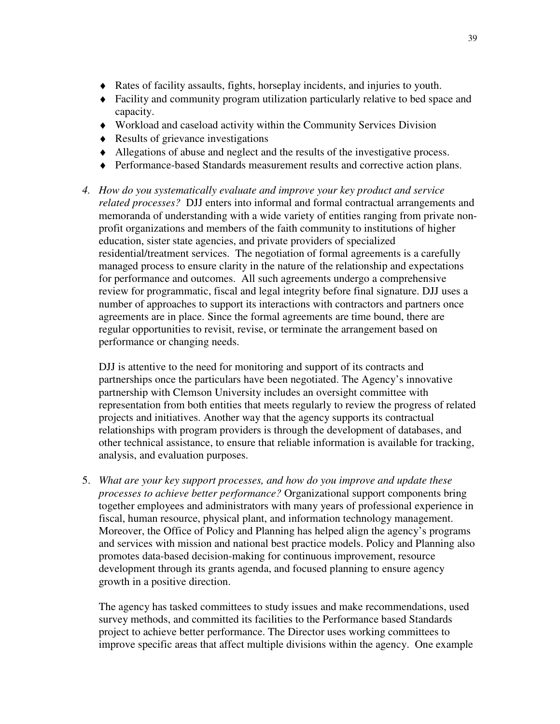- ♦ Rates of facility assaults, fights, horseplay incidents, and injuries to youth.
- ♦ Facility and community program utilization particularly relative to bed space and capacity.
- ♦ Workload and caseload activity within the Community Services Division
- ♦ Results of grievance investigations
- ♦ Allegations of abuse and neglect and the results of the investigative process.
- ♦ Performance-based Standards measurement results and corrective action plans.
- *4. How do you systematically evaluate and improve your key product and service related processes?* DJJ enters into informal and formal contractual arrangements and memoranda of understanding with a wide variety of entities ranging from private nonprofit organizations and members of the faith community to institutions of higher education, sister state agencies, and private providers of specialized residential/treatment services. The negotiation of formal agreements is a carefully managed process to ensure clarity in the nature of the relationship and expectations for performance and outcomes. All such agreements undergo a comprehensive review for programmatic, fiscal and legal integrity before final signature. DJJ uses a number of approaches to support its interactions with contractors and partners once agreements are in place. Since the formal agreements are time bound, there are regular opportunities to revisit, revise, or terminate the arrangement based on performance or changing needs.

DJJ is attentive to the need for monitoring and support of its contracts and partnerships once the particulars have been negotiated. The Agency's innovative partnership with Clemson University includes an oversight committee with representation from both entities that meets regularly to review the progress of related projects and initiatives. Another way that the agency supports its contractual relationships with program providers is through the development of databases, and other technical assistance, to ensure that reliable information is available for tracking, analysis, and evaluation purposes.

5. *What are your key support processes, and how do you improve and update these processes to achieve better performance?* Organizational support components bring together employees and administrators with many years of professional experience in fiscal, human resource, physical plant, and information technology management. Moreover, the Office of Policy and Planning has helped align the agency's programs and services with mission and national best practice models. Policy and Planning also promotes data-based decision-making for continuous improvement, resource development through its grants agenda, and focused planning to ensure agency growth in a positive direction.

The agency has tasked committees to study issues and make recommendations, used survey methods, and committed its facilities to the Performance based Standards project to achieve better performance. The Director uses working committees to improve specific areas that affect multiple divisions within the agency. One example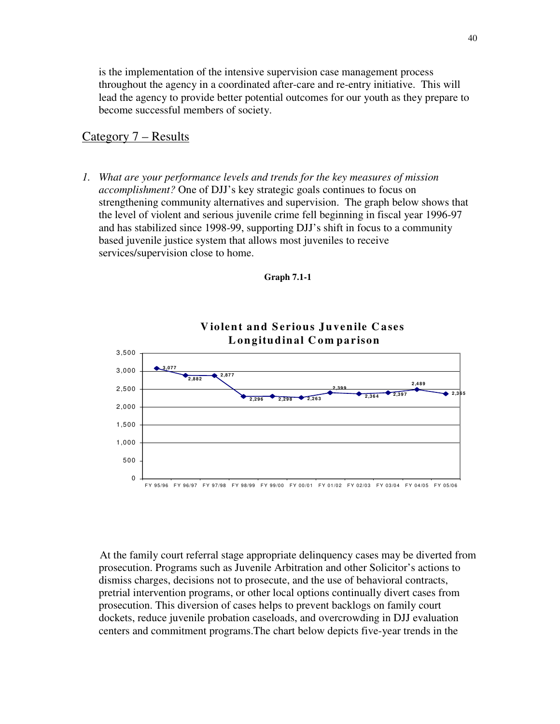is the implementation of the intensive supervision case management process throughout the agency in a coordinated after-care and re-entry initiative. This will lead the agency to provide better potential outcomes for our youth as they prepare to become successful members of society.

#### Category 7 – Results

*1. What are your performance levels and trends for the key measures of mission accomplishment?* One of DJJ's key strategic goals continues to focus on strengthening community alternatives and supervision. The graph below shows that the level of violent and serious juvenile crime fell beginning in fiscal year 1996-97 and has stabilized since 1998-99, supporting DJJ's shift in focus to a community based juvenile justice system that allows most juveniles to receive services/supervision close to home.





*Violent and Serious Juvenile Cases* 

At the family court referral stage appropriate delinquency cases may be diverted from prosecution. Programs such as Juvenile Arbitration and other Solicitor's actions to dismiss charges, decisions not to prosecute, and the use of behavioral contracts, pretrial intervention programs, or other local options continually divert cases from prosecution. This diversion of cases helps to prevent backlogs on family court dockets, reduce juvenile probation caseloads, and overcrowding in DJJ evaluation centers and commitment programs.The chart below depicts five-year trends in the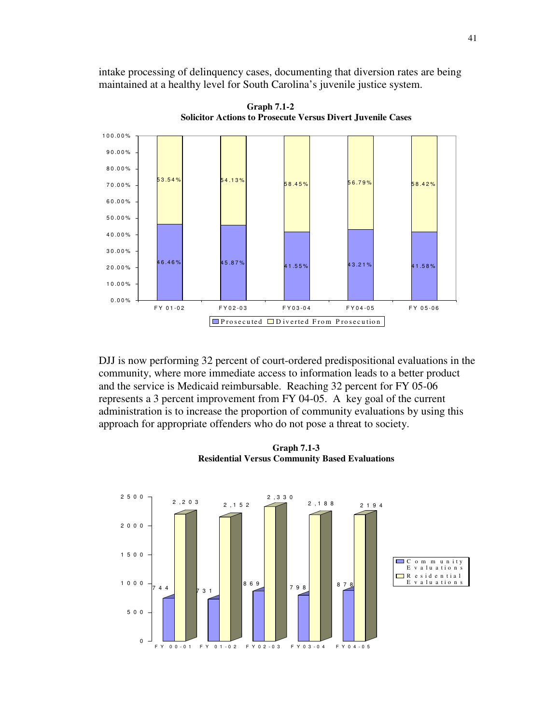intake processing of delinquency cases, documenting that diversion rates are being maintained at a healthy level for South Carolina's juvenile justice system.



**Graph 7.1-2 Solicitor Actions to Prosecute Versus Divert Juvenile Cases** 

DJJ is now performing 32 percent of court-ordered predispositional evaluations in the community, where more immediate access to information leads to a better product and the service is Medicaid reimbursable. Reaching 32 percent for FY 05-06 represents a 3 percent improvement from FY 04-05. A key goal of the current administration is to increase the proportion of community evaluations by using this approach for appropriate offenders who do not pose a threat to society.

**Graph 7.1-3 Residential Versus Community Based Evaluations** 

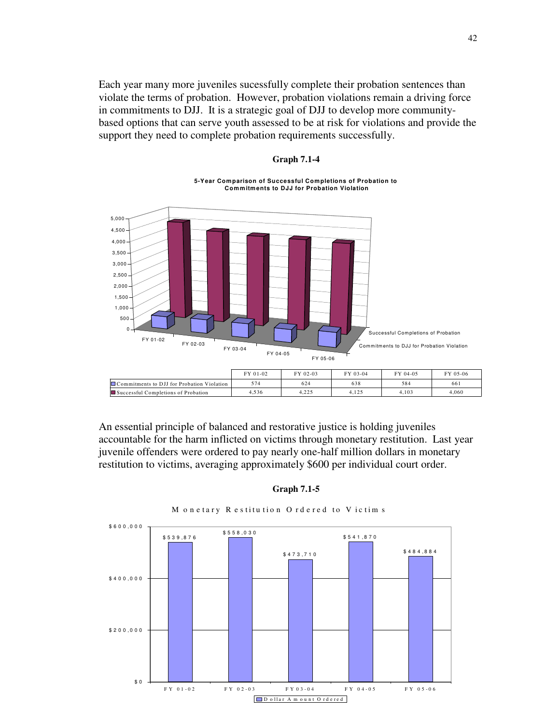Each year many more juveniles sucessfully complete their probation sentences than violate the terms of probation. However, probation violations remain a driving force in commitments to DJJ. It is a strategic goal of DJJ to develop more communitybased options that can serve youth assessed to be at risk for violations and provide the support they need to complete probation requirements successfully.



#### **Graph 7.1-4**

**5-Year Comparison of Successful Completions of Probation to Comm itments to DJJ for Probation Violation** 

An essential principle of balanced and restorative justice is holding juveniles accountable for the harm inflicted on victims through monetary restitution. Last year juvenile offenders were ordered to pay nearly one-half million dollars in monetary restitution to victims, averaging approximately \$600 per individual court order.

**Graph 7.1-5** 



M onetary Restitution Ordered to Victims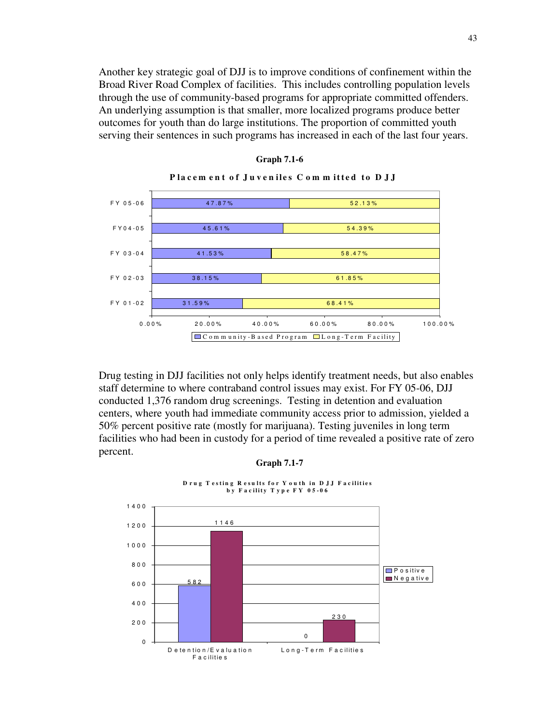Another key strategic goal of DJJ is to improve conditions of confinement within the Broad River Road Complex of facilities. This includes controlling population levels through the use of community-based programs for appropriate committed offenders. An underlying assumption is that smaller, more localized programs produce better outcomes for youth than do large institutions. The proportion of committed youth serving their sentences in such programs has increased in each of the last four years.



#### **Graph 7.1-6**

Drug testing in DJJ facilities not only helps identify treatment needs, but also enables staff determine to where contraband control issues may exist. For FY 05-06, DJJ conducted 1,376 random drug screenings. Testing in detention and evaluation centers, where youth had immediate community access prior to admission, yielded a 50% percent positive rate (mostly for marijuana). Testing juveniles in long term facilities who had been in custody for a period of time revealed a positive rate of zero percent.

#### **Graph 7.1-7**



**D** rug Testing Results for Youth in DJJ Facilities **by Facility Type FY 05-06**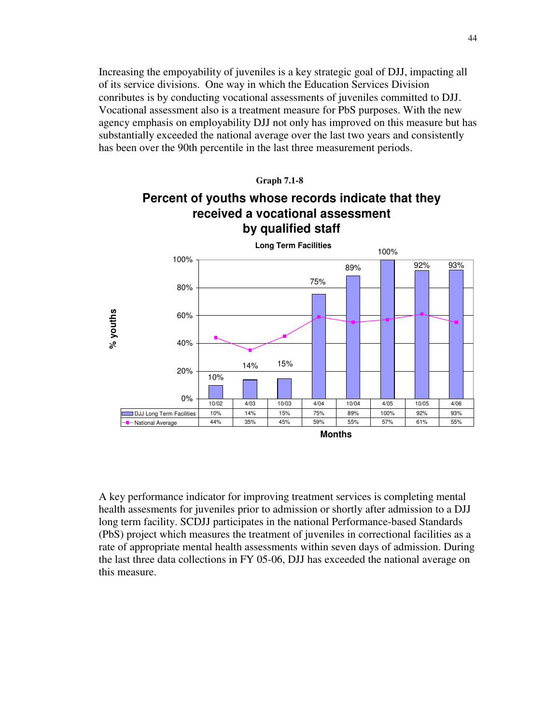Increasing the empoyability of juveniles is a key strategic goal of DJJ, impacting all of its service divisions. One way in which the Education Services Division conributes is by conducting vocational assessments of juveniles committed to DJJ. Vocational assessment also is a treatment measure for PbS purposes. With the new agency emphasis on employability DJJ not only has improved on this measure but has substantially exceeded the national average over the last two years and consistently has been over the 90th percentile in the last three measurement periods.



A key performance indicator for improving treatment services is completing mental health assesments for juveniles prior to admission or shortly after admission to a DJJ long term facility. SCDJJ participates in the national Performance-based Standards (PbS) project which measures the treatment of juveniles in correctional facilities as a rate of appropriate mental health assessments within seven days of admission. During the last three data collections in FY 05-06, DJJ has exceeded the national average on this measure.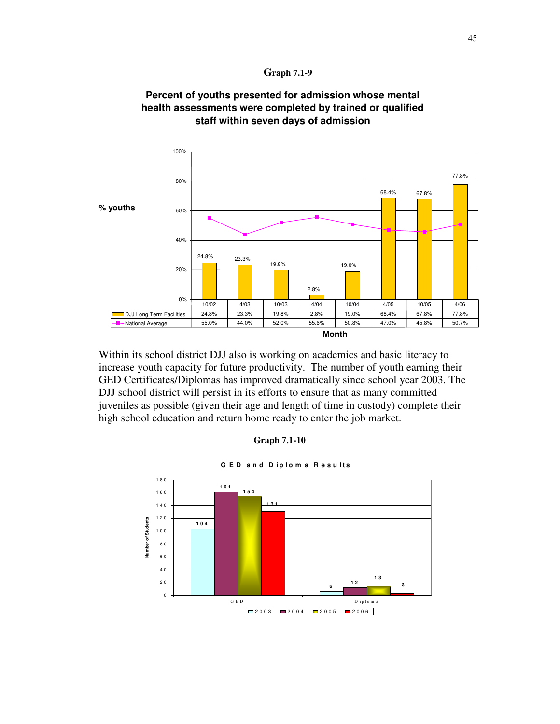



## **Percent of youths presented for admission whose mental health assessments were completed by trained or qualified staff within seven days of admission**

Within its school district DJJ also is working on academics and basic literacy to increase youth capacity for future productivity. The number of youth earning their GED Certificates/Diplomas has improved dramatically since school year 2003. The DJJ school district will persist in its efforts to ensure that as many committed juveniles as possible (given their age and length of time in custody) complete their high school education and return home ready to enter the job market.



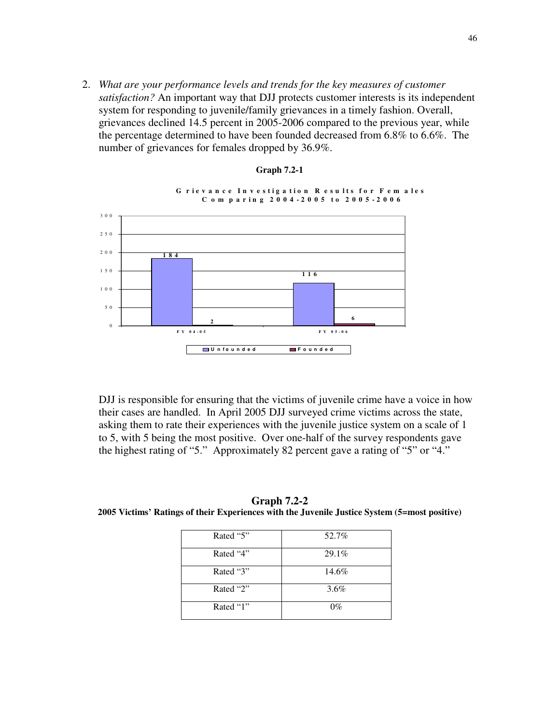2. *What are your performance levels and trends for the key measures of customer satisfaction?* An important way that DJJ protects customer interests is its independent system for responding to juvenile/family grievances in a timely fashion. Overall, grievances declined 14.5 percent in 2005-2006 compared to the previous year, while the percentage determined to have been founded decreased from 6.8% to 6.6%. The number of grievances for females dropped by 36.9%.

**Graph 7.2-1** 



DJJ is responsible for ensuring that the victims of juvenile crime have a voice in how their cases are handled. In April 2005 DJJ surveyed crime victims across the state, asking them to rate their experiences with the juvenile justice system on a scale of 1 to 5, with 5 being the most positive. Over one-half of the survey respondents gave the highest rating of "5." Approximately 82 percent gave a rating of "5" or "4."

**Graph 7.2-2 2005 Victims' Ratings of their Experiences with the Juvenile Justice System (5=most positive)** 

| Rated "5" | 52.7%   |
|-----------|---------|
| Rated "4" | 29.1%   |
| Rated "3" | 14.6%   |
| Rated "2" | $3.6\%$ |
| Rated "1" | $0\%$   |

46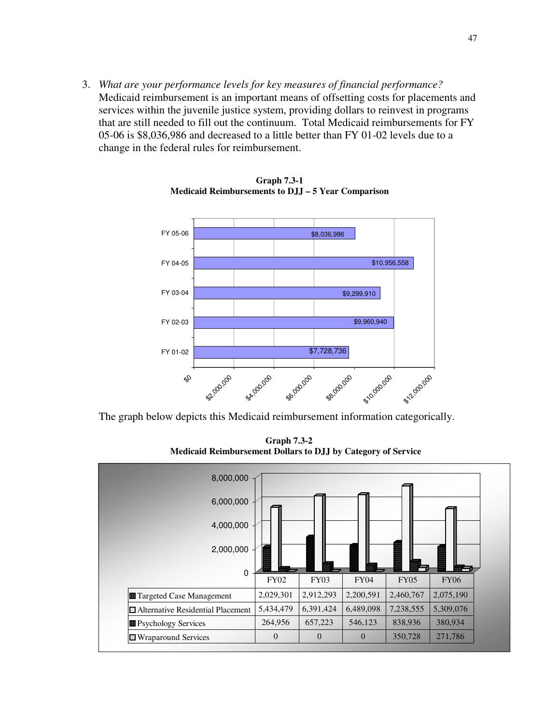3. *What are your performance levels for key measures of financial performance?*  Medicaid reimbursement is an important means of offsetting costs for placements and services within the juvenile justice system, providing dollars to reinvest in programs that are still needed to fill out the continuum. Total Medicaid reimbursements for FY 05-06 is \$8,036,986 and decreased to a little better than FY 01-02 levels due to a change in the federal rules for reimbursement.



**Graph 7.3-1 Medicaid Reimbursements to DJJ – 5 Year Comparison** 

The graph below depicts this Medicaid reimbursement information categorically.

 **Graph 7.3-2 Medicaid Reimbursement Dollars to DJJ by Category of Service** 

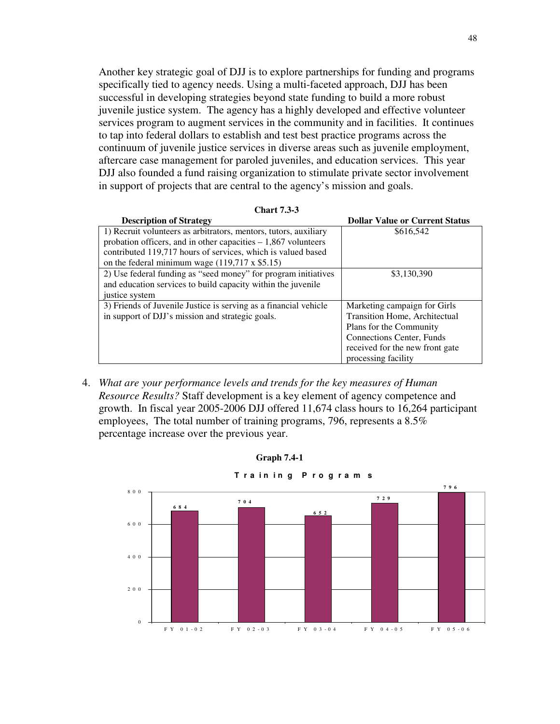Another key strategic goal of DJJ is to explore partnerships for funding and programs specifically tied to agency needs. Using a multi-faceted approach, DJJ has been successful in developing strategies beyond state funding to build a more robust juvenile justice system. The agency has a highly developed and effective volunteer services program to augment services in the community and in facilities. It continues to tap into federal dollars to establish and test best practice programs across the continuum of juvenile justice services in diverse areas such as juvenile employment, aftercare case management for paroled juveniles, and education services. This year DJJ also founded a fund raising organization to stimulate private sector involvement in support of projects that are central to the agency's mission and goals.

| <b>Chart 7.3-3</b>                                               |                                       |
|------------------------------------------------------------------|---------------------------------------|
| <b>Description of Strategy</b>                                   | <b>Dollar Value or Current Status</b> |
| 1) Recruit volunteers as arbitrators, mentors, tutors, auxiliary | \$616,542                             |
| probation officers, and in other capacities $-1,867$ volunteers  |                                       |
| contributed 119,717 hours of services, which is valued based     |                                       |
| on the federal minimum wage $(119,717 \times $5.15)$             |                                       |
| 2) Use federal funding as "seed money" for program initiatives   | \$3,130,390                           |
| and education services to build capacity within the juvenile     |                                       |
| justice system                                                   |                                       |
| 3) Friends of Juvenile Justice is serving as a financial vehicle | Marketing campaign for Girls          |
| in support of DJJ's mission and strategic goals.                 | Transition Home, Architectual         |
|                                                                  | Plans for the Community               |
|                                                                  | <b>Connections Center, Funds</b>      |
|                                                                  | received for the new front gate       |
|                                                                  | processing facility                   |

| <b>Chart 7.3-3</b> |  |
|--------------------|--|
|--------------------|--|

4. *What are your performance levels and trends for the key measures of Human Resource Results?* Staff development is a key element of agency competence and growth. In fiscal year 2005-2006 DJJ offered 11,674 class hours to 16,264 participant employees, The total number of training programs, 796, represents a 8.5% percentage increase over the previous year.

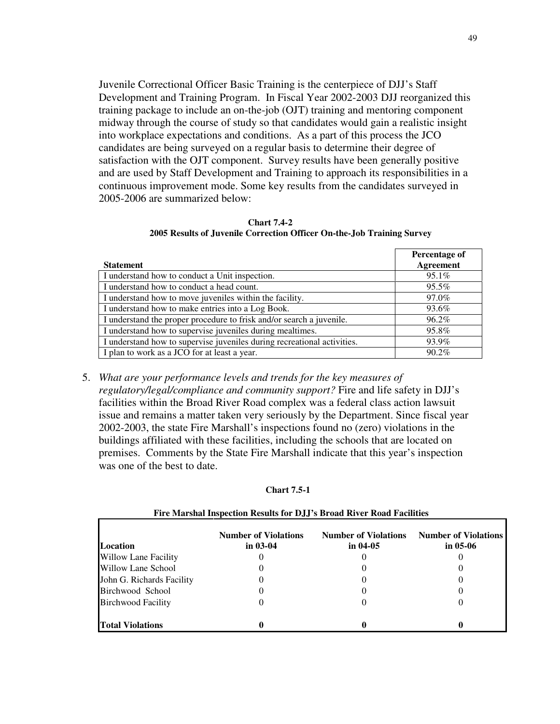Juvenile Correctional Officer Basic Training is the centerpiece of DJJ's Staff Development and Training Program. In Fiscal Year 2002-2003 DJJ reorganized this training package to include an on-the-job (OJT) training and mentoring component midway through the course of study so that candidates would gain a realistic insight into workplace expectations and conditions. As a part of this process the JCO candidates are being surveyed on a regular basis to determine their degree of satisfaction with the OJT component. Survey results have been generally positive and are used by Staff Development and Training to approach its responsibilities in a continuous improvement mode. Some key results from the candidates surveyed in 2005-2006 are summarized below:

| <b>Chart 7.4-2</b>                                                     |  |  |  |  |
|------------------------------------------------------------------------|--|--|--|--|
| 2005 Results of Juvenile Correction Officer On-the-Job Training Survey |  |  |  |  |

|                                                                         | Percentage of |
|-------------------------------------------------------------------------|---------------|
| <b>Statement</b>                                                        | Agreement     |
| I understand how to conduct a Unit inspection.                          | $95.1\%$      |
| I understand how to conduct a head count.                               | 95.5%         |
| I understand how to move juveniles within the facility.                 | 97.0%         |
| I understand how to make entries into a Log Book.                       | 93.6%         |
| I understand the proper procedure to frisk and/or search a juvenile.    | 96.2%         |
| I understand how to supervise juveniles during mealtimes.               | 95.8%         |
| I understand how to supervise juveniles during recreational activities. | 93.9%         |
| I plan to work as a JCO for at least a year.                            | 90.2%         |

5. *What are your performance levels and trends for the key measures of regulatory/legal/compliance and community support?* Fire and life safety in DJJ's facilities within the Broad River Road complex was a federal class action lawsuit issue and remains a matter taken very seriously by the Department. Since fiscal year 2002-2003, the state Fire Marshall's inspections found no (zero) violations in the buildings affiliated with these facilities, including the schools that are located on premises. Comments by the State Fire Marshall indicate that this year's inspection was one of the best to date.

#### **Chart 7.5-1**

| <b>Location</b>             | <b>Number of Violations</b><br>in $03-04$ | <b>Number of Violations</b><br>in $04-05$ | <b>Number of Violations</b><br>in $05-06$ |
|-----------------------------|-------------------------------------------|-------------------------------------------|-------------------------------------------|
| <b>Willow Lane Facility</b> |                                           |                                           |                                           |
| Willow Lane School          |                                           |                                           |                                           |
| John G. Richards Facility   |                                           |                                           |                                           |
| Birchwood School            |                                           |                                           |                                           |
| <b>Birchwood Facility</b>   |                                           |                                           |                                           |
| <b>Total Violations</b>     |                                           |                                           |                                           |

#### **Fire Marshal Inspection Results for DJJ's Broad River Road Facilities**